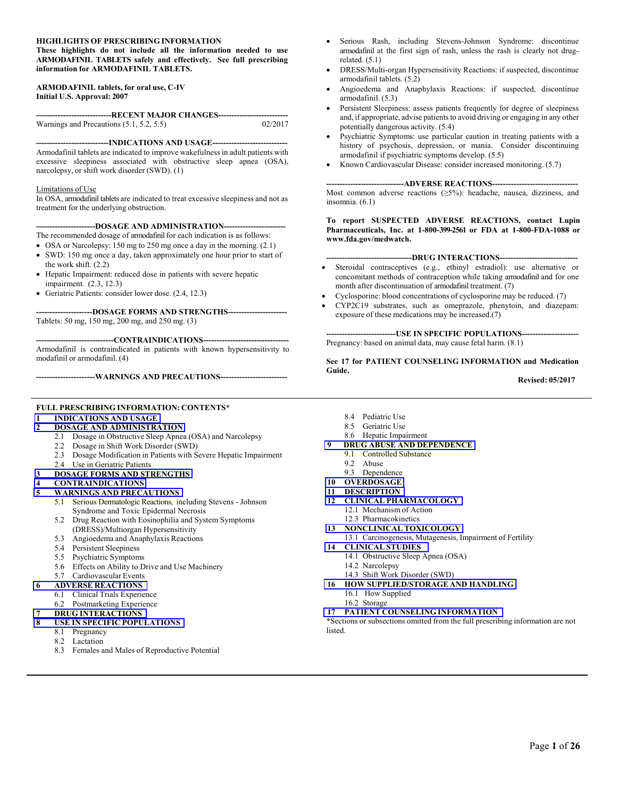#### **HIGHLIGHTS OF PRESCRIBING INFORMATION**

**These highlights do not include all the information needed to use ARMODAFINIL TABLETS safely and effectively. See full prescribing information for ARMODAFINIL TABLETS.**

#### **ARMODAFINIL tablets, for oral use, C-IV Initial U.S. Approval: 2007**

| --------------------------------RECENT MAJOR CHANGES---------------------------- |         |
|----------------------------------------------------------------------------------|---------|
| Warnings and Precautions $(5.1, 5.2, 5.5)$                                       | 02/2017 |

**---------------------------INDICATIONS AND USAGE----------------------------**

Armodafinil tablets are indicated to improve wakefulness in adult patients with excessive sleepiness associated with obstructive sleep apnea (OSA), narcolepsy, or shift work disorder (SWD). (1)

#### Limitations of Use

In OSA, armodafinil tablets are indicated to treat excessive sleepiness and not as treatment for the underlying obstruction.

**----------------------DOSAGE AND ADMINISTRATION-----------------------**

- The recommended dosage of armodafinil for each indication is as follows:
- OSA or Narcolepsy: 150 mg to 250 mg once a day in the morning. (2.1) SWD: 150 mg once a day, taken approximately one hour prior to start of the work shift. (2.2)
- Hepatic Impairment: reduced dose in patients with severe hepatic impairment. (2.3, 12.3)
- Geriatric Patients: consider lower dose. (2.4, 12.3)

**---------------------DOSAGE FORMS AND STRENGTHS----------------------**

Tablets: 50 mg, 150 mg, 200 mg, and 250 mg. (3)

**-----------------------------CONTRAINDICATIONS--------------------------------** 

Armodafinil is contraindicated in patients with known hypersensitivity to modafinil or armodafinil. (4)

**----------------------WARNINGS AND PRECAUTIONS-------------------------**

#### **FULL PRESCRIBING INFORMATION: CONTENTS\***

#### **[1 INDICATIONS AND USAGE](#page-1-0)**

- **[2 DOSAGE AND ADMINISTRATION](#page-1-0)**
	- 2.1 Dosage in Obstructive Sleep Apnea (OSA) and Narcolepsy
	- 2.2 Dosage in Shift Work Disorder (SWD)
	- 2.3 Dosage Modification in Patients with Severe Hepatic Impairment
	- 2.4 Use in Geriatric Patients

#### **[3 DOSAGE FORMS AND STRENGTHS](#page-1-0)**

- **[4 CONTRAINDICATIONS](#page-2-0)**
- **[5 WARNINGS AND PRECAUTIONS](#page-2-0)**
	- 5.1 Serious Dermatologic Reactions, including Stevens Johnson Syndrome and Toxic Epidermal Necrosis
	- 5.2 Drug Reaction with Eosinophilia and System Symptoms (DRESS)/Multiorgan Hypersensitivity
	- 5.3 Angioedema and Anaphylaxis Reactions
	- 5.4 Persistent Sleepiness
	- 5.5 Psychiatric Symptoms
	- 5.6 Effects on Ability to Drive and Use Machinery
	- 5.7 Cardiovascular Events
- **[6 ADVERSE REACTIONS](#page-4-0)**
	- 6.1 Clinical Trials Experience
	- 6.2 Postmarketing Experience
- **[7 DRUG INTERACTIONS](#page-7-0)**
- **[8 USE IN SPECIFIC POPULATIONS](#page-8-0)**
	- 8.1 Pregnancy
	- 8.2 Lactation
	- 8.3 Females and Males of Reproductive Potential
- 8.4 Pediatric Use
- 8.5 Geriatric Use
- 8.6 Hepatic Impairment
- **[9 DRUG ABUSE AND DEPENDENCE](#page-9-0)**
	- 9.1 Controlled Substance
	- 9.2 Abuse
	- 9.3 Dependence
- **[10 OVERDOSAGE](#page-10-0)**
- **[11 DESCRIPTION](#page-11-0)**
- **[12 CLINICAL PHARMACOLOGY](#page-11-0)** 12.1 Mechanism of Action
	- 12.3 Pharmacokinetics
- **[13 NONCLINICAL TOXICOLOGY](#page-16-0)**
	- 13.1 Carcinogenesis, Mutagenesis, Impairment of Fertility
- -
	-
	- - 16.2 Storage
- 

\*Sections or subsections omitted from the full prescribing information are not **listed** 

- Serious Rash, including Stevens-Johnson Syndrome: discontinue armodafinil at the first sign of rash, unless the rash is clearly not drugrelated. (5.1)
- DRESS/Multi-organ Hypersensitivity Reactions: if suspected, discontinue armodafinil tablets. (5.2)
- Angioedema and Anaphylaxis Reactions: if suspected, discontinue armodafinil. (5.3)
- Persistent Sleepiness: assess patients frequently for degree of sleepiness and, if appropriate, advise patients to avoid driving or engaging in any other potentially dangerous activity. (5.4)
- Psychiatric Symptoms: use particular caution in treating patients with a history of psychosis, depression, or mania. Consider discontinuing armodafinil if psychiatric symptoms develop. (5.5)
- Known Cardiovascular Disease: consider increased monitoring. (5.7)

#### **-----------------------------ADVERSE REACTIONS--------------------------------**

Most common adverse reactions (≥5%): headache, nausea, dizziness, and insomnia. (6.1)

#### **To report SUSPECTED ADVERSE REACTIONS, contact Lupin Pharmaceuticals, Inc. at 1-800-399-2561 or FDA at 1-800-FDA-1088 or www.fda.gov/medwatch.**

#### **--------------------------------DRUG INTERACTIONS-----------------------------**

- Steroidal contraceptives (e.g., ethinyl estradiol): use alternative or concomitant methods of contraception while taking armodafinil and for one month after discontinuation of armodafinil treatment. (7)
- Cyclosporine: blood concentrations of cyclosporine may be reduced. (7)
- CYP2C19 substrates, such as omeprazole, phenytoin, and diazepam: exposure of these medications may be increased.(7)

**--------------------------USE IN SPECIFIC POPULATIONS---------------------** Pregnancy: based on animal data, may cause fetal harm. (8.1)

**See 17 for PATIENT COUNSELING INFORMATION and Medication Guide.**

**Revised: 05/2017**

- **[14 CLINICAL STUDIES](#page-16-0)** 14.1 Obstructive Sleep Apnea (OSA)
	- 14.2 Narcolepsy
	- 14.3 Shift Work Disorder (SWD)
	- **[16 HOW SUPPLIED/STORAGE AND HANDLING](#page-19-0)** 16.1 How Supplied
		-
	- **[17 PATIENT COUNSELING INFORMATION](#page-20-0)**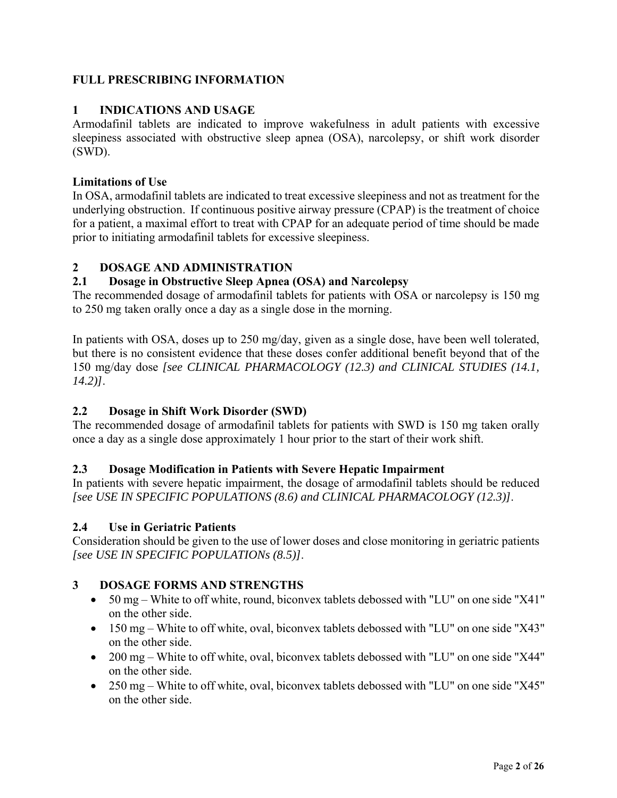# <span id="page-1-0"></span>**FULL PRESCRIBING INFORMATION**

# **1 INDICATIONS AND USAGE**

Armodafinil tablets are indicated to improve wakefulness in adult patients with excessive sleepiness associated with obstructive sleep apnea (OSA), narcolepsy, or shift work disorder (SWD).

## **Limitations of Use**

In OSA, armodafinil tablets are indicated to treat excessive sleepiness and not as treatment for the underlying obstruction. If continuous positive airway pressure (CPAP) is the treatment of choice for a patient, a maximal effort to treat with CPAP for an adequate period of time should be made prior to initiating armodafinil tablets for excessive sleepiness.

## **2 DOSAGE AND ADMINISTRATION**

# **2.1 Dosage in Obstructive Sleep Apnea (OSA) and Narcolepsy**

The recommended dosage of armodafinil tablets for patients with OSA or narcolepsy is 150 mg to 250 mg taken orally once a day as a single dose in the morning.

In patients with OSA, doses up to 250 mg/day, given as a single dose, have been well tolerated, but there is no consistent evidence that these doses confer additional benefit beyond that of the 150 mg/day dose *[see CLINICAL PHARMACOLOGY (12.3) and CLINICAL STUDIES (14.1, 14.2)]*.

# **2.2 Dosage in Shift Work Disorder (SWD)**

The recommended dosage of armodafinil tablets for patients with SWD is 150 mg taken orally once a day as a single dose approximately 1 hour prior to the start of their work shift.

# **2.3 Dosage Modification in Patients with Severe Hepatic Impairment**

In patients with severe hepatic impairment, the dosage of armodafinil tablets should be reduced *[see USE IN SPECIFIC POPULATIONS (8.6) and CLINICAL PHARMACOLOGY (12.3)]*.

# **2.4 Use in Geriatric Patients**

Consideration should be given to the use of lower doses and close monitoring in geriatric patients *[see USE IN SPECIFIC POPULATIONs (8.5)]*.

# **3 DOSAGE FORMS AND STRENGTHS**

- 50 mg White to off white, round, biconvex tablets debossed with "LU" on one side "X41" on the other side.
- 150 mg White to off white, oval, biconvex tablets debossed with "LU" on one side "X43" on the other side.
- 200 mg White to off white, oval, biconvex tablets debossed with "LU" on one side "X44" on the other side.
- 250 mg White to off white, oval, biconvex tablets debossed with "LU" on one side "X45" on the other side.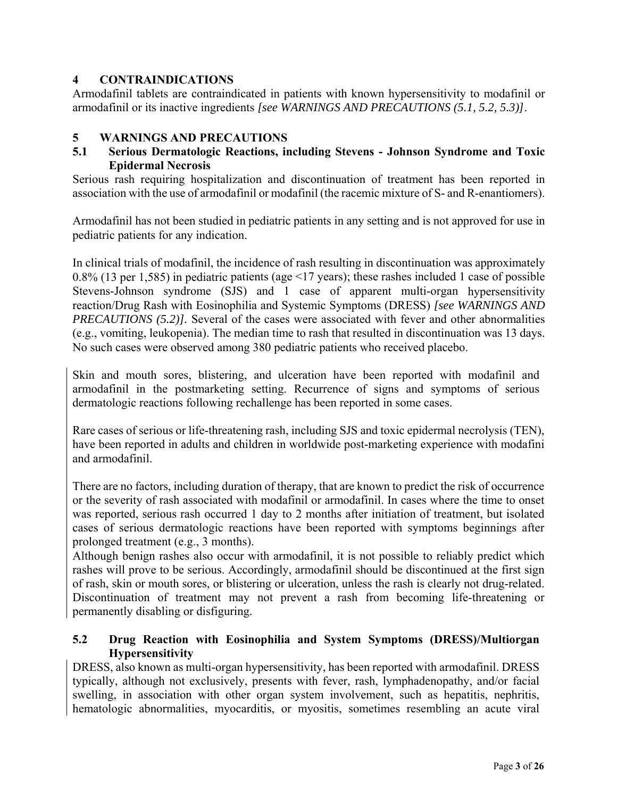# <span id="page-2-0"></span>**4 CONTRAINDICATIONS**

Armodafinil tablets are contraindicated in patients with known hypersensitivity to modafinil or armodafinil or its inactive ingredients *[see WARNINGS AND PRECAUTIONS (5.1, 5.2, 5.3)]*.

# **5 WARNINGS AND PRECAUTIONS**

# **5.1 Serious Dermatologic Reactions, including Stevens - Johnson Syndrome and Toxic Epidermal Necrosis**

Serious rash requiring hospitalization and discontinuation of treatment has been reported in association with the use of armodafinil or modafinil (the racemic mixture of S- and R-enantiomers).

Armodafinil has not been studied in pediatric patients in any setting and is not approved for use in pediatric patients for any indication.

In clinical trials of modafinil, the incidence of rash resulting in discontinuation was approximately 0.8% (13 per 1,585) in pediatric patients (age <17 years); these rashes included 1 case of possible Stevens-Johnson syndrome (SJS) and 1 case of apparent multi-organ hypersensitivity reaction/Drug Rash with Eosinophilia and Systemic Symptoms (DRESS) *[see WARNINGS AND PRECAUTIONS (5.2)].* Several of the cases were associated with fever and other abnormalities (e.g., vomiting, leukopenia). The median time to rash that resulted in discontinuation was 13 days. No such cases were observed among 380 pediatric patients who received placebo.

Skin and mouth sores, blistering, and ulceration have been reported with modafinil and armodafinil in the postmarketing setting. Recurrence of signs and symptoms of serious dermatologic reactions following rechallenge has been reported in some cases.

Rare cases of serious or life-threatening rash, including SJS and toxic epidermal necrolysis (TEN), have been reported in adults and children in worldwide post-marketing experience with modafini and armodafinil.

There are no factors, including duration of therapy, that are known to predict the risk of occurrence or the severity of rash associated with modafinil or armodafinil. In cases where the time to onset was reported, serious rash occurred 1 day to 2 months after initiation of treatment, but isolated cases of serious dermatologic reactions have been reported with symptoms beginnings after prolonged treatment (e.g., 3 months).

Although benign rashes also occur with armodafinil, it is not possible to reliably predict which rashes will prove to be serious. Accordingly, armodafinil should be discontinued at the first sign of rash, skin or mouth sores, or blistering or ulceration, unless the rash is clearly not drug-related. Discontinuation of treatment may not prevent a rash from becoming life-threatening or permanently disabling or disfiguring.

# **5.2 Drug Reaction with Eosinophilia and System Symptoms (DRESS)/Multiorgan Hypersensitivity**

DRESS, also known as multi-organ hypersensitivity, has been reported with armodafinil. DRESS typically, although not exclusively, presents with fever, rash, lymphadenopathy, and/or facial swelling, in association with other organ system involvement, such as hepatitis, nephritis, hematologic abnormalities, myocarditis, or myositis, sometimes resembling an acute viral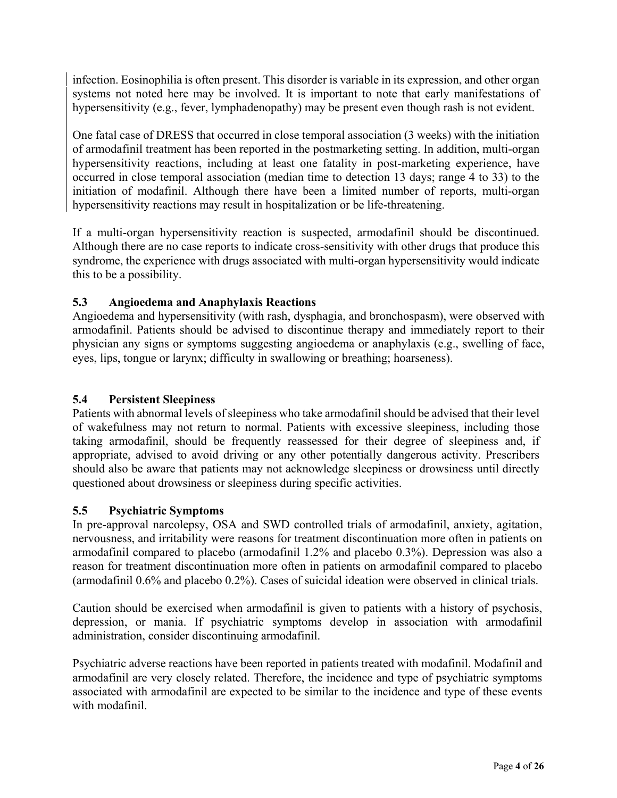infection. Eosinophilia is often present. This disorder is variable in its expression, and other organ systems not noted here may be involved. It is important to note that early manifestations of hypersensitivity (e.g., fever, lymphadenopathy) may be present even though rash is not evident.

One fatal case of DRESS that occurred in close temporal association (3 weeks) with the initiation of armodafinil treatment has been reported in the postmarketing setting. In addition, multi-organ hypersensitivity reactions, including at least one fatality in post-marketing experience, have occurred in close temporal association (median time to detection 13 days; range 4 to 33) to the initiation of modafinil. Although there have been a limited number of reports, multi-organ hypersensitivity reactions may result in hospitalization or be life-threatening.

If a multi-organ hypersensitivity reaction is suspected, armodafinil should be discontinued. Although there are no case reports to indicate cross-sensitivity with other drugs that produce this syndrome, the experience with drugs associated with multi-organ hypersensitivity would indicate this to be a possibility.

# **5.3 Angioedema and Anaphylaxis Reactions**

Angioedema and hypersensitivity (with rash, dysphagia, and bronchospasm), were observed with armodafinil. Patients should be advised to discontinue therapy and immediately report to their physician any signs or symptoms suggesting angioedema or anaphylaxis (e.g., swelling of face, eyes, lips, tongue or larynx; difficulty in swallowing or breathing; hoarseness).

# **5.4 Persistent Sleepiness**

Patients with abnormal levels of sleepiness who take armodafinil should be advised that their level of wakefulness may not return to normal. Patients with excessive sleepiness, including those taking armodafinil, should be frequently reassessed for their degree of sleepiness and, if appropriate, advised to avoid driving or any other potentially dangerous activity. Prescribers should also be aware that patients may not acknowledge sleepiness or drowsiness until directly questioned about drowsiness or sleepiness during specific activities.

# **5.5 Psychiatric Symptoms**

In pre-approval narcolepsy, OSA and SWD controlled trials of armodafinil, anxiety, agitation, nervousness, and irritability were reasons for treatment discontinuation more often in patients on armodafinil compared to placebo (armodafinil 1.2% and placebo 0.3%). Depression was also a reason for treatment discontinuation more often in patients on armodafinil compared to placebo (armodafinil 0.6% and placebo 0.2%). Cases of suicidal ideation were observed in clinical trials.

Caution should be exercised when armodafinil is given to patients with a history of psychosis, depression, or mania. If psychiatric symptoms develop in association with armodafinil administration, consider discontinuing armodafinil.

Psychiatric adverse reactions have been reported in patients treated with modafinil. Modafinil and armodafinil are very closely related. Therefore, the incidence and type of psychiatric symptoms associated with armodafinil are expected to be similar to the incidence and type of these events with modafinil.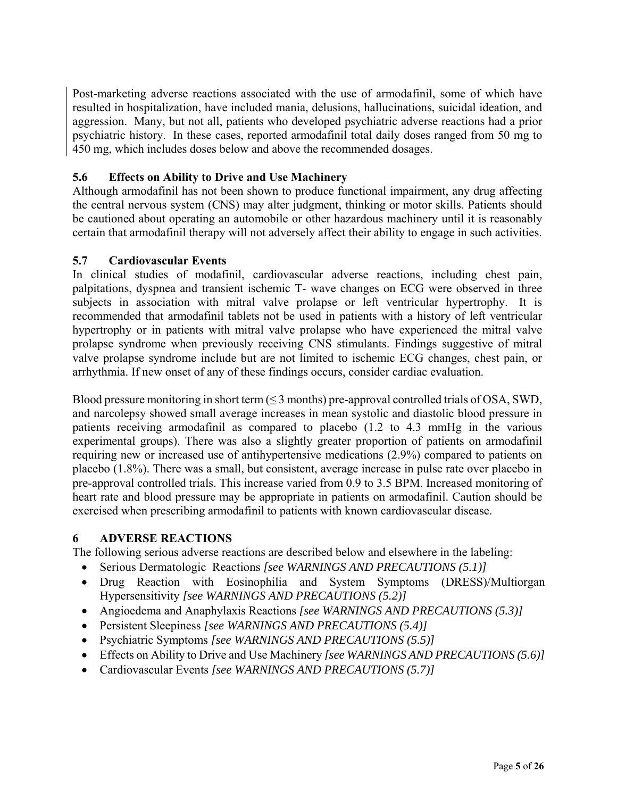<span id="page-4-0"></span>Post-marketing adverse reactions associated with the use of armodafinil, some of which have resulted in hospitalization, have included mania, delusions, hallucinations, suicidal ideation, and aggression. Many, but not all, patients who developed psychiatric adverse reactions had a prior psychiatric history. In these cases, reported armodafinil total daily doses ranged from 50 mg to 450 mg, which includes doses below and above the recommended dosages.

# **5.6 Effects on Ability to Drive and Use Machinery**

Although armodafinil has not been shown to produce functional impairment, any drug affecting the central nervous system (CNS) may alter judgment, thinking or motor skills. Patients should be cautioned about operating an automobile or other hazardous machinery until it is reasonably certain that armodafinil therapy will not adversely affect their ability to engage in such activities.

# **5.7 Cardiovascular Events**

In clinical studies of modafinil, cardiovascular adverse reactions, including chest pain, palpitations, dyspnea and transient ischemic T- wave changes on ECG were observed in three subjects in association with mitral valve prolapse or left ventricular hypertrophy. It is recommended that armodafinil tablets not be used in patients with a history of left ventricular hypertrophy or in patients with mitral valve prolapse who have experienced the mitral valve prolapse syndrome when previously receiving CNS stimulants. Findings suggestive of mitral valve prolapse syndrome include but are not limited to ischemic ECG changes, chest pain, or arrhythmia. If new onset of any of these findings occurs, consider cardiac evaluation.

Blood pressure monitoring in short term  $(\leq 3$  months) pre-approval controlled trials of OSA, SWD, and narcolepsy showed small average increases in mean systolic and diastolic blood pressure in patients receiving armodafinil as compared to placebo (1.2 to 4.3 mmHg in the various experimental groups). There was also a slightly greater proportion of patients on armodafinil requiring new or increased use of antihypertensive medications (2.9%) compared to patients on placebo (1.8%). There was a small, but consistent, average increase in pulse rate over placebo in pre-approval controlled trials. This increase varied from 0.9 to 3.5 BPM. Increased monitoring of heart rate and blood pressure may be appropriate in patients on armodafinil. Caution should be exercised when prescribing armodafinil to patients with known cardiovascular disease.

# **6 ADVERSE REACTIONS**

The following serious adverse reactions are described below and elsewhere in the labeling:

- Serious Dermatologic Reactions *[see WARNINGS AND PRECAUTIONS (5.1)]*
- Drug Reaction with Eosinophilia and System Symptoms (DRESS)/Multiorgan Hypersensitivity *[see WARNINGS AND PRECAUTIONS (5.2)]*
- Angioedema and Anaphylaxis Reactions *[see WARNINGS AND PRECAUTIONS (5.3)]*
- Persistent Sleepiness *[see WARNINGS AND PRECAUTIONS (5.4)]*
- Psychiatric Symptoms *[see WARNINGS AND PRECAUTIONS (5.5)]*
- Effects on Ability to Drive and Use Machinery *[see WARNINGS AND PRECAUTIONS (5.6)]*
- Cardiovascular Events *[see WARNINGS AND PRECAUTIONS (5.7)]*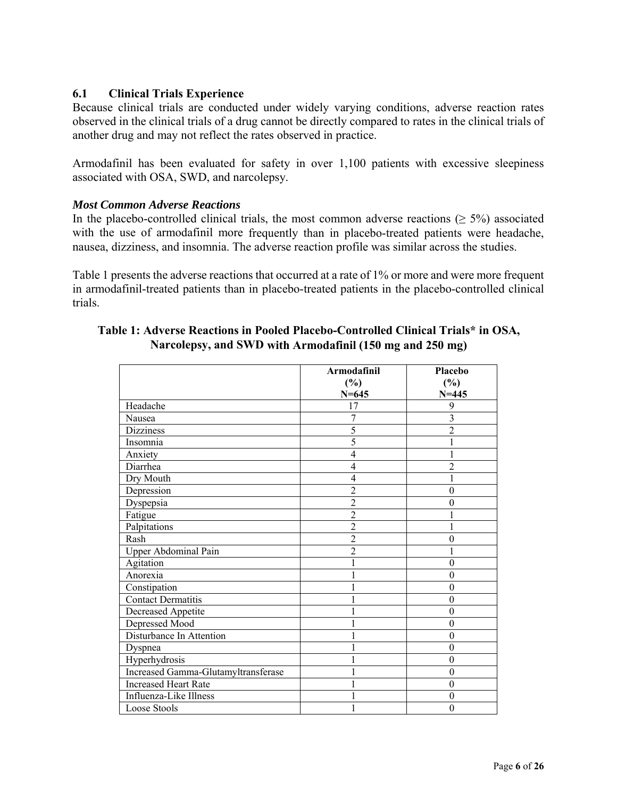## **6.1 Clinical Trials Experience**

Because clinical trials are conducted under widely varying conditions, adverse reaction rates observed in the clinical trials of a drug cannot be directly compared to rates in the clinical trials of another drug and may not reflect the rates observed in practice.

Armodafinil has been evaluated for safety in over 1,100 patients with excessive sleepiness associated with OSA, SWD, and narcolepsy.

### *Most Common Adverse Reactions*

In the placebo-controlled clinical trials, the most common adverse reactions ( $\geq$  5%) associated with the use of armodafinil more frequently than in placebo-treated patients were headache, nausea, dizziness, and insomnia. The adverse reaction profile was similar across the studies.

Table 1 presents the adverse reactions that occurred at a rate of 1% or more and were more frequent in armodafinil-treated patients than in placebo-treated patients in the placebo-controlled clinical trials.

|                                     | Armodafinil    | Placebo          |
|-------------------------------------|----------------|------------------|
|                                     | $(\%)$         | $(\%)$           |
|                                     | $N = 645$      | $N = 445$        |
| Headache                            | 17             | 9                |
| Nausea                              | 7              | 3                |
| <b>Dizziness</b>                    | 5              | $\overline{2}$   |
| Insomnia                            | 5              |                  |
| Anxiety                             | $\overline{4}$ |                  |
| Diarrhea                            | 4              | $\overline{2}$   |
| Dry Mouth                           | 4              |                  |
| Depression                          | $\overline{c}$ | $\overline{0}$   |
| Dyspepsia                           | $\overline{2}$ | 0                |
| Fatigue                             | $\overline{2}$ |                  |
| Palpitations                        | $\overline{2}$ | 1                |
| Rash                                | $\overline{2}$ | $\theta$         |
| Upper Abdominal Pain                | $\overline{2}$ |                  |
| Agitation                           | 1              | $\overline{0}$   |
| Anorexia                            | $\mathbf{1}$   | $\theta$         |
| Constipation                        |                | $\theta$         |
| <b>Contact Dermatitis</b>           |                | $\boldsymbol{0}$ |
| <b>Decreased Appetite</b>           | 1              | $\theta$         |
| Depressed Mood                      | 1              | $\theta$         |
| Disturbance In Attention            | 1              | $\theta$         |
| Dyspnea                             | 1              | $\theta$         |
| Hyperhydrosis                       | $\mathbf{1}$   | $\boldsymbol{0}$ |
| Increased Gamma-Glutamyltransferase | 1              | $\boldsymbol{0}$ |
| <b>Increased Heart Rate</b>         | 1              | $\overline{0}$   |
| Influenza-Like Illness              | 1              | $\theta$         |
| Loose Stools                        |                | $\boldsymbol{0}$ |

## **Table 1: Adverse Reactions in Pooled Placebo-Controlled Clinical Trials\* in OSA, Narcolepsy, and SWD with Armodafinil (150 mg and 250 mg)**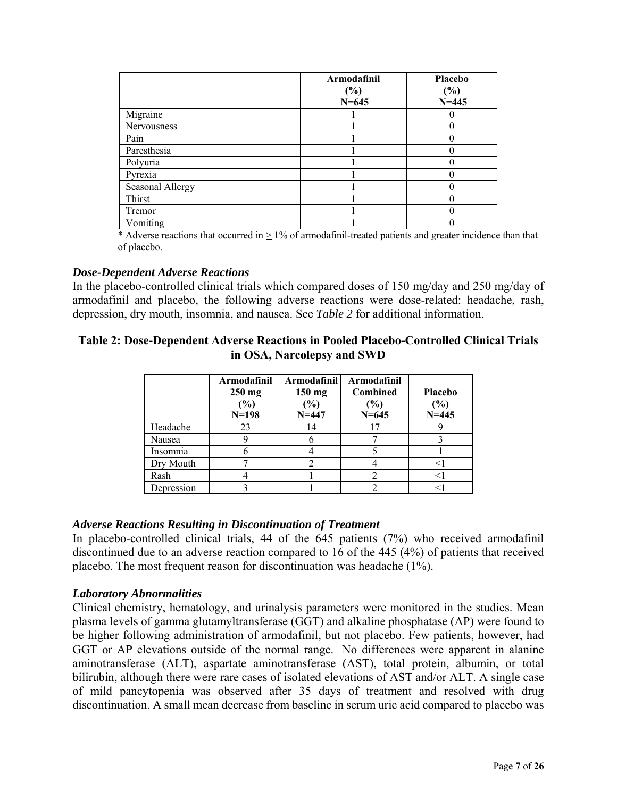|                  | Armodafinil<br>$(\%)$<br>$N = 645$ | Placebo<br>$(\%)$<br>$N = 445$ |
|------------------|------------------------------------|--------------------------------|
| Migraine         |                                    |                                |
| Nervousness      |                                    |                                |
| Pain             |                                    |                                |
| Paresthesia      |                                    |                                |
| Polyuria         |                                    |                                |
| Pyrexia          |                                    |                                |
| Seasonal Allergy |                                    |                                |
| Thirst           |                                    |                                |
| Tremor           |                                    |                                |
| Vomiting         |                                    |                                |

\* Adverse reactions that occurred in  $> 1\%$  of armodafinil-treated patients and greater incidence than that of placebo.

### *Dose-Dependent Adverse Reactions*

In the placebo-controlled clinical trials which compared doses of 150 mg/day and 250 mg/day of armodafinil and placebo, the following adverse reactions were dose-related: headache, rash, depression, dry mouth, insomnia, and nausea. See *Table 2* for additional information.

## **Table 2: Dose-Dependent Adverse Reactions in Pooled Placebo-Controlled Clinical Trials in OSA, Narcolepsy and SWD**

|            | Armodafinil<br>$250$ mg<br>(%)<br>$N=198$ | Armodafinil<br>$150$ mg<br>(%)<br>$N = 447$ | Armodafinil<br>Combined<br>(%)<br>$N = 645$ | Placebo<br>$(\%)$<br>$N = 445$ |
|------------|-------------------------------------------|---------------------------------------------|---------------------------------------------|--------------------------------|
| Headache   | 23                                        | 14                                          |                                             |                                |
| Nausea     |                                           | n                                           |                                             |                                |
| Insomnia   |                                           |                                             |                                             |                                |
| Dry Mouth  |                                           |                                             |                                             |                                |
| Rash       |                                           |                                             |                                             |                                |
| Depression |                                           |                                             |                                             |                                |

### *Adverse Reactions Resulting in Discontinuation of Treatment*

In placebo-controlled clinical trials, 44 of the 645 patients (7%) who received armodafinil discontinued due to an adverse reaction compared to 16 of the 445 (4%) of patients that received placebo. The most frequent reason for discontinuation was headache (1%).

#### *Laboratory Abnormalities*

Clinical chemistry, hematology, and urinalysis parameters were monitored in the studies. Mean plasma levels of gamma glutamyltransferase (GGT) and alkaline phosphatase (AP) were found to be higher following administration of armodafinil, but not placebo. Few patients, however, had GGT or AP elevations outside of the normal range. No differences were apparent in alanine aminotransferase (ALT), aspartate aminotransferase (AST), total protein, albumin, or total bilirubin, although there were rare cases of isolated elevations of AST and/or ALT. A single case of mild pancytopenia was observed after 35 days of treatment and resolved with drug discontinuation. A small mean decrease from baseline in serum uric acid compared to placebo was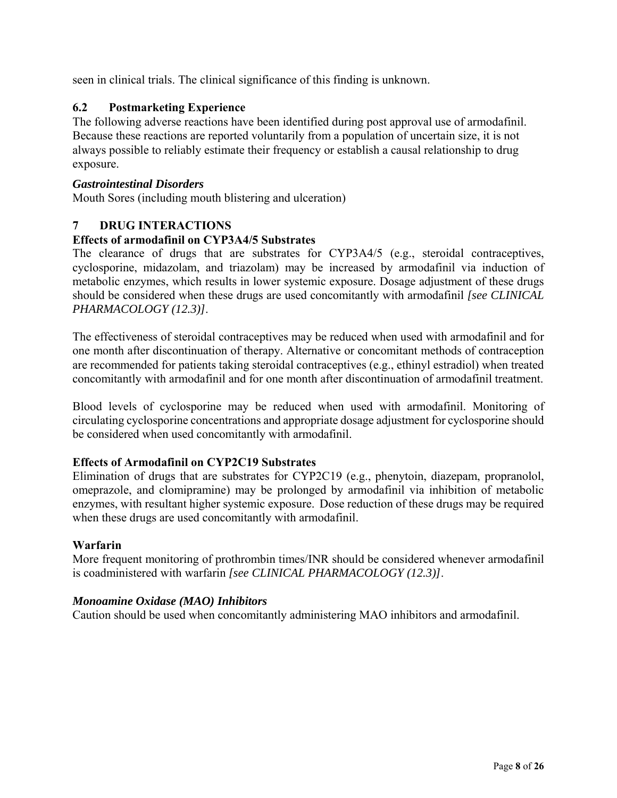<span id="page-7-0"></span>seen in clinical trials. The clinical significance of this finding is unknown.

## **6.2 Postmarketing Experience**

The following adverse reactions have been identified during post approval use of armodafinil. Because these reactions are reported voluntarily from a population of uncertain size, it is not always possible to reliably estimate their frequency or establish a causal relationship to drug exposure.

#### *Gastrointestinal Disorders*

Mouth Sores (including mouth blistering and ulceration)

## **7 DRUG INTERACTIONS**

### **Effects of armodafinil on CYP3A4/5 Substrates**

The clearance of drugs that are substrates for CYP3A4/5 (e.g., steroidal contraceptives, cyclosporine, midazolam, and triazolam) may be increased by armodafinil via induction of metabolic enzymes, which results in lower systemic exposure. Dosage adjustment of these drugs should be considered when these drugs are used concomitantly with armodafinil *[see CLINICAL PHARMACOLOGY (12.3)]*.

The effectiveness of steroidal contraceptives may be reduced when used with armodafinil and for one month after discontinuation of therapy. Alternative or concomitant methods of contraception are recommended for patients taking steroidal contraceptives (e.g., ethinyl estradiol) when treated concomitantly with armodafinil and for one month after discontinuation of armodafinil treatment.

Blood levels of cyclosporine may be reduced when used with armodafinil. Monitoring of circulating cyclosporine concentrations and appropriate dosage adjustment for cyclosporine should be considered when used concomitantly with armodafinil.

### **Effects of Armodafinil on CYP2C19 Substrates**

Elimination of drugs that are substrates for CYP2C19 (e.g., phenytoin, diazepam, propranolol, omeprazole, and clomipramine) may be prolonged by armodafinil via inhibition of metabolic enzymes, with resultant higher systemic exposure. Dose reduction of these drugs may be required when these drugs are used concomitantly with armodafinil.

#### **Warfarin**

More frequent monitoring of prothrombin times/INR should be considered whenever armodafinil is coadministered with warfarin *[see CLINICAL PHARMACOLOGY (12.3)]*.

### *Monoamine Oxidase (MAO) Inhibitors*

Caution should be used when concomitantly administering MAO inhibitors and armodafinil.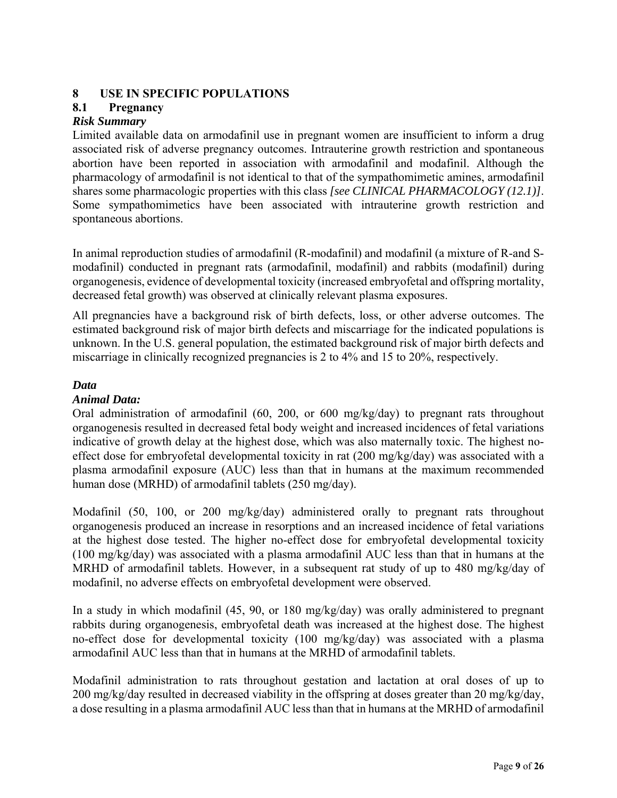## <span id="page-8-0"></span>**8 USE IN SPECIFIC POPULATIONS**

# **8.1 Pregnancy**

# *Risk Summary*

Limited available data on armodafinil use in pregnant women are insufficient to inform a drug associated risk of adverse pregnancy outcomes. Intrauterine growth restriction and spontaneous abortion have been reported in association with armodafinil and modafinil. Although the pharmacology of armodafinil is not identical to that of the sympathomimetic amines, armodafinil shares some pharmacologic properties with this class *[see CLINICAL PHARMACOLOGY (12.1)]*. Some sympathomimetics have been associated with intrauterine growth restriction and spontaneous abortions.

In animal reproduction studies of armodafinil (R-modafinil) and modafinil (a mixture of R-and Smodafinil) conducted in pregnant rats (armodafinil, modafinil) and rabbits (modafinil) during organogenesis, evidence of developmental toxicity (increased embryofetal and offspring mortality, decreased fetal growth) was observed at clinically relevant plasma exposures.

All pregnancies have a background risk of birth defects, loss, or other adverse outcomes. The estimated background risk of major birth defects and miscarriage for the indicated populations is unknown. In the U.S. general population, the estimated background risk of major birth defects and miscarriage in clinically recognized pregnancies is 2 to 4% and 15 to 20%, respectively.

### *Data*

### *Animal Data:*

Oral administration of armodafinil (60, 200, or 600 mg/kg/day) to pregnant rats throughout organogenesis resulted in decreased fetal body weight and increased incidences of fetal variations indicative of growth delay at the highest dose, which was also maternally toxic. The highest noeffect dose for embryofetal developmental toxicity in rat (200 mg/kg/day) was associated with a plasma armodafinil exposure (AUC) less than that in humans at the maximum recommended human dose (MRHD) of armodafinil tablets (250 mg/day).

Modafinil (50, 100, or 200 mg/kg/day) administered orally to pregnant rats throughout organogenesis produced an increase in resorptions and an increased incidence of fetal variations at the highest dose tested. The higher no-effect dose for embryofetal developmental toxicity (100 mg/kg/day) was associated with a plasma armodafinil AUC less than that in humans at the MRHD of armodafinil tablets. However, in a subsequent rat study of up to 480 mg/kg/day of modafinil, no adverse effects on embryofetal development were observed.

In a study in which modafinil (45, 90, or 180 mg/kg/day) was orally administered to pregnant rabbits during organogenesis, embryofetal death was increased at the highest dose. The highest no-effect dose for developmental toxicity (100 mg/kg/day) was associated with a plasma armodafinil AUC less than that in humans at the MRHD of armodafinil tablets.

Modafinil administration to rats throughout gestation and lactation at oral doses of up to 200 mg/kg/day resulted in decreased viability in the offspring at doses greater than 20 mg/kg/day, a dose resulting in a plasma armodafinil AUC less than that in humans at the MRHD of armodafinil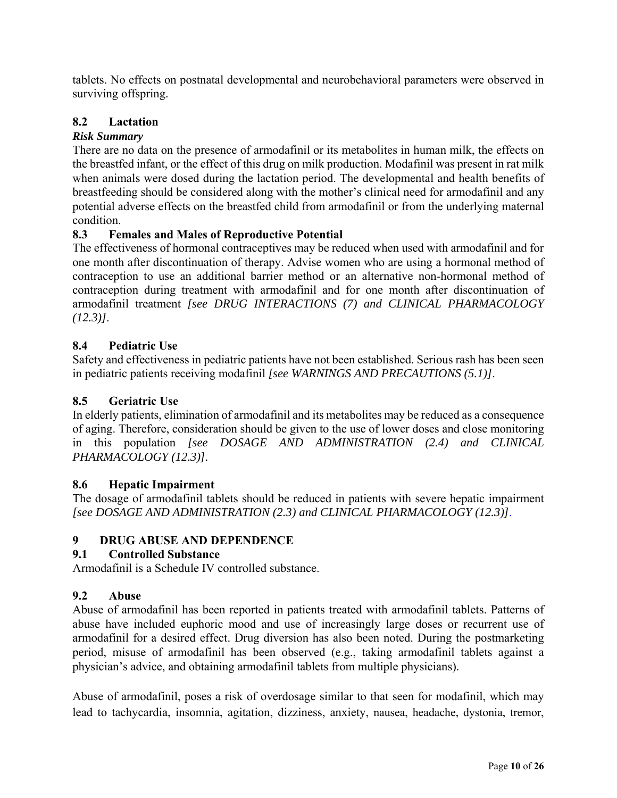<span id="page-9-0"></span>tablets. No effects on postnatal developmental and neurobehavioral parameters were observed in surviving offspring.

# **8.2 Lactation**

## *Risk Summary*

There are no data on the presence of armodafinil or its metabolites in human milk, the effects on the breastfed infant, or the effect of this drug on milk production. Modafinil was present in rat milk when animals were dosed during the lactation period. The developmental and health benefits of breastfeeding should be considered along with the mother's clinical need for armodafinil and any potential adverse effects on the breastfed child from armodafinil or from the underlying maternal condition.

## **8.3 Females and Males of Reproductive Potential**

The effectiveness of hormonal contraceptives may be reduced when used with armodafinil and for one month after discontinuation of therapy. Advise women who are using a hormonal method of contraception to use an additional barrier method or an alternative non-hormonal method of contraception during treatment with armodafinil and for one month after discontinuation of armodafinil treatment *[see DRUG INTERACTIONS (7) and CLINICAL PHARMACOLOGY (12.3)]*.

### **8.4 Pediatric Use**

Safety and effectiveness in pediatric patients have not been established. Serious rash has been seen in pediatric patients receiving modafinil *[see WARNINGS AND PRECAUTIONS (5.1)]*.

### **8.5 Geriatric Use**

In elderly patients, elimination of armodafinil and its metabolites may be reduced as a consequence of aging. Therefore, consideration should be given to the use of lower doses and close monitoring in this population *[see DOSAGE AND ADMINISTRATION (2.4) and CLINICAL PHARMACOLOGY (12.3)].* 

### **8.6 Hepatic Impairment**

The dosage of armodafinil tablets should be reduced in patients with severe hepatic impairment *[see DOSAGE AND ADMINISTRATION (2.3) and CLINICAL PHARMACOLOGY (12.3)]*.

### **9 DRUG ABUSE AND DEPENDENCE**

### **9.1 Controlled Substance**

Armodafinil is a Schedule IV controlled substance.

# **9.2 Abuse**

Abuse of armodafinil has been reported in patients treated with armodafinil tablets. Patterns of abuse have included euphoric mood and use of increasingly large doses or recurrent use of armodafinil for a desired effect. Drug diversion has also been noted. During the postmarketing period, misuse of armodafinil has been observed (e.g., taking armodafinil tablets against a physician's advice, and obtaining armodafinil tablets from multiple physicians).

Abuse of armodafinil, poses a risk of overdosage similar to that seen for modafinil, which may lead to tachycardia, insomnia, agitation, dizziness, anxiety, nausea, headache, dystonia, tremor,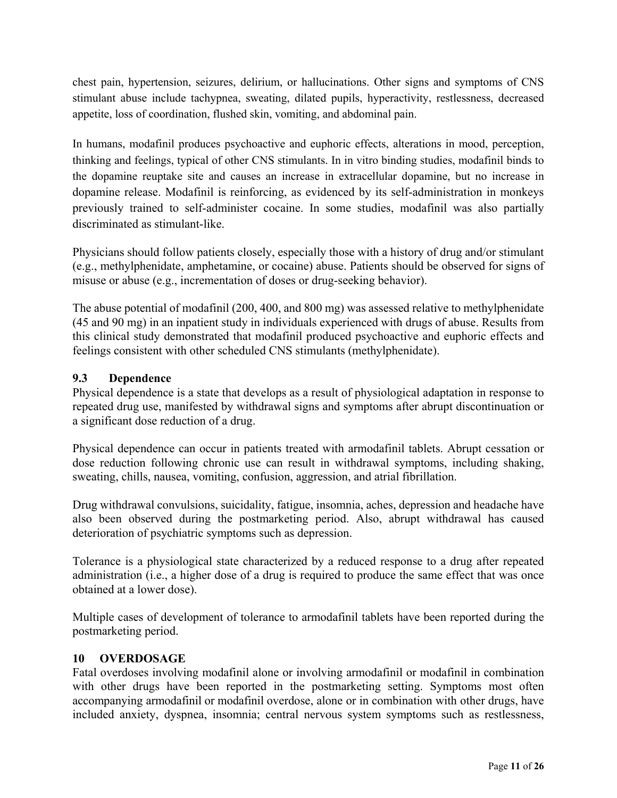<span id="page-10-0"></span>chest pain, hypertension, seizures, delirium, or hallucinations. Other signs and symptoms of CNS stimulant abuse include tachypnea, sweating, dilated pupils, hyperactivity, restlessness, decreased appetite, loss of coordination, flushed skin, vomiting, and abdominal pain.

In humans, modafinil produces psychoactive and euphoric effects, alterations in mood, perception, thinking and feelings, typical of other CNS stimulants. In in vitro binding studies, modafinil binds to the dopamine reuptake site and causes an increase in extracellular dopamine, but no increase in dopamine release. Modafinil is reinforcing, as evidenced by its self-administration in monkeys previously trained to self-administer cocaine. In some studies, modafinil was also partially discriminated as stimulant-like.

Physicians should follow patients closely, especially those with a history of drug and/or stimulant (e.g., methylphenidate, amphetamine, or cocaine) abuse. Patients should be observed for signs of misuse or abuse (e.g., incrementation of doses or drug-seeking behavior).

The abuse potential of modafinil (200, 400, and 800 mg) was assessed relative to methylphenidate (45 and 90 mg) in an inpatient study in individuals experienced with drugs of abuse. Results from this clinical study demonstrated that modafinil produced psychoactive and euphoric effects and feelings consistent with other scheduled CNS stimulants (methylphenidate).

## **9.3 Dependence**

Physical dependence is a state that develops as a result of physiological adaptation in response to repeated drug use, manifested by withdrawal signs and symptoms after abrupt discontinuation or a significant dose reduction of a drug.

Physical dependence can occur in patients treated with armodafinil tablets. Abrupt cessation or dose reduction following chronic use can result in withdrawal symptoms, including shaking, sweating, chills, nausea, vomiting, confusion, aggression, and atrial fibrillation.

Drug withdrawal convulsions, suicidality, fatigue, insomnia, aches, depression and headache have also been observed during the postmarketing period. Also, abrupt withdrawal has caused deterioration of psychiatric symptoms such as depression.

Tolerance is a physiological state characterized by a reduced response to a drug after repeated administration (i.e., a higher dose of a drug is required to produce the same effect that was once obtained at a lower dose).

Multiple cases of development of tolerance to armodafinil tablets have been reported during the postmarketing period.

### **10 OVERDOSAGE**

Fatal overdoses involving modafinil alone or involving armodafinil or modafinil in combination with other drugs have been reported in the postmarketing setting. Symptoms most often accompanying armodafinil or modafinil overdose, alone or in combination with other drugs, have included anxiety, dyspnea, insomnia; central nervous system symptoms such as restlessness,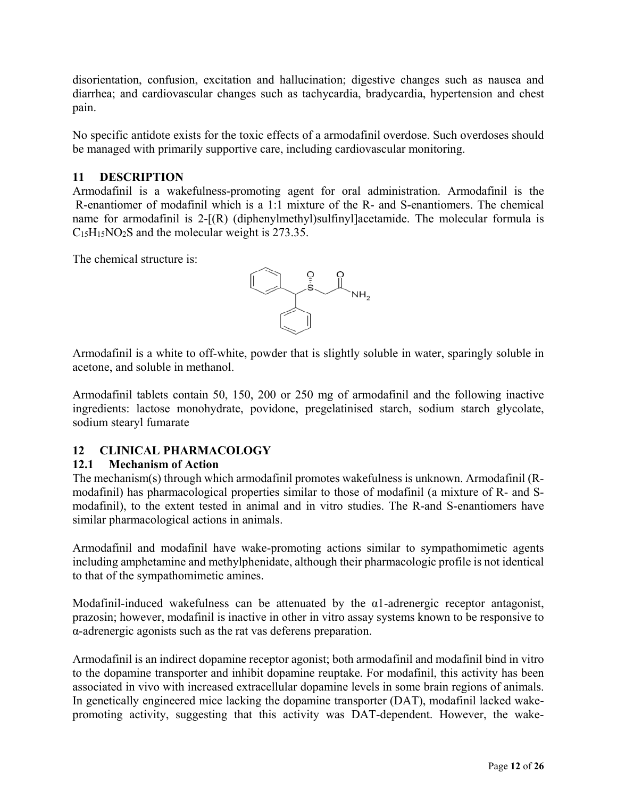<span id="page-11-0"></span>disorientation, confusion, excitation and hallucination; digestive changes such as nausea and diarrhea; and cardiovascular changes such as tachycardia, bradycardia, hypertension and chest pain.

No specific antidote exists for the toxic effects of a armodafinil overdose. Such overdoses should be managed with primarily supportive care, including cardiovascular monitoring.

# **11 DESCRIPTION**

Armodafinil is a wakefulness-promoting agent for oral administration. Armodafinil is the R-enantiomer of modafinil which is a 1:1 mixture of the R- and S-enantiomers. The chemical name for armodafinil is  $2-[R]$  (diphenylmethyl)sulfinyl acetamide. The molecular formula is C15H15NO2S and the molecular weight is 273.35.

The chemical structure is:



Armodafinil is a white to off-white, powder that is slightly soluble in water, sparingly soluble in acetone, and soluble in methanol.

Armodafinil tablets contain 50, 150, 200 or 250 mg of armodafinil and the following inactive ingredients: lactose monohydrate, povidone, pregelatinised starch, sodium starch glycolate, sodium stearyl fumarate

# **12 CLINICAL PHARMACOLOGY**

# **12.1 Mechanism of Action**

The mechanism(s) through which armodafinil promotes wakefulness is unknown. Armodafinil (Rmodafinil) has pharmacological properties similar to those of modafinil (a mixture of R- and Smodafinil), to the extent tested in animal and in vitro studies. The R-and S-enantiomers have similar pharmacological actions in animals.

Armodafinil and modafinil have wake-promoting actions similar to sympathomimetic agents including amphetamine and methylphenidate, although their pharmacologic profile is not identical to that of the sympathomimetic amines.

Modafinil-induced wakefulness can be attenuated by the  $\alpha$ 1-adrenergic receptor antagonist, prazosin; however, modafinil is inactive in other in vitro assay systems known to be responsive to α-adrenergic agonists such as the rat vas deferens preparation.

Armodafinil is an indirect dopamine receptor agonist; both armodafinil and modafinil bind in vitro to the dopamine transporter and inhibit dopamine reuptake. For modafinil, this activity has been associated in vivo with increased extracellular dopamine levels in some brain regions of animals. In genetically engineered mice lacking the dopamine transporter (DAT), modafinil lacked wakepromoting activity, suggesting that this activity was DAT-dependent. However, the wake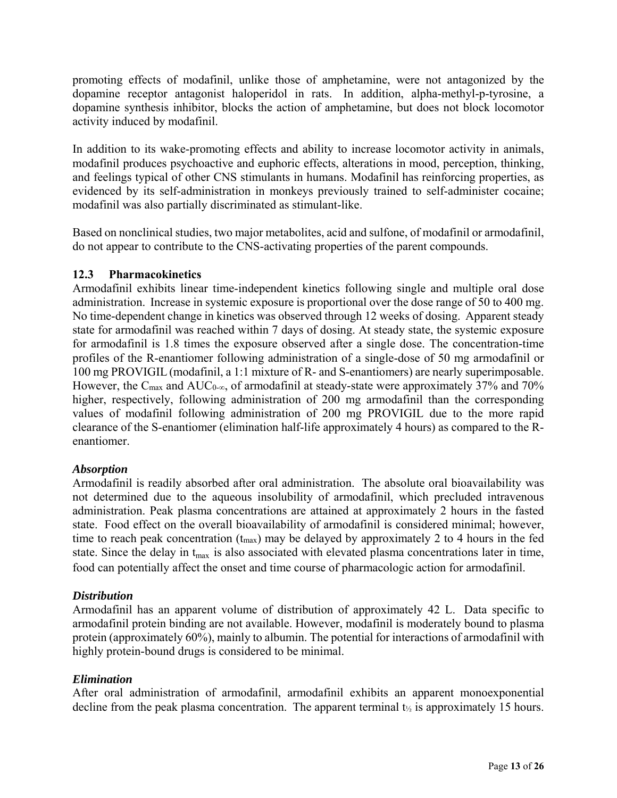promoting effects of modafinil, unlike those of amphetamine, were not antagonized by the dopamine receptor antagonist haloperidol in rats. In addition, alpha-methyl-p-tyrosine, a dopamine synthesis inhibitor, blocks the action of amphetamine, but does not block locomotor activity induced by modafinil.

In addition to its wake-promoting effects and ability to increase locomotor activity in animals, modafinil produces psychoactive and euphoric effects, alterations in mood, perception, thinking, and feelings typical of other CNS stimulants in humans. Modafinil has reinforcing properties, as evidenced by its self-administration in monkeys previously trained to self-administer cocaine; modafinil was also partially discriminated as stimulant-like.

Based on nonclinical studies, two major metabolites, acid and sulfone, of modafinil or armodafinil, do not appear to contribute to the CNS-activating properties of the parent compounds.

## **12.3 Pharmacokinetics**

Armodafinil exhibits linear time-independent kinetics following single and multiple oral dose administration. Increase in systemic exposure is proportional over the dose range of 50 to 400 mg. No time-dependent change in kinetics was observed through 12 weeks of dosing. Apparent steady state for armodafinil was reached within 7 days of dosing. At steady state, the systemic exposure for armodafinil is 1.8 times the exposure observed after a single dose. The concentration-time profiles of the R-enantiomer following administration of a single-dose of 50 mg armodafinil or 100 mg PROVIGIL (modafinil, a 1:1 mixture of R- and S-enantiomers) are nearly superimposable. However, the C<sub>max</sub> and AUC<sub>0-∞</sub>, of armodafinil at steady-state were approximately 37% and 70% higher, respectively, following administration of 200 mg armodafinil than the corresponding values of modafinil following administration of 200 mg PROVIGIL due to the more rapid clearance of the S-enantiomer (elimination half-life approximately 4 hours) as compared to the Renantiomer.

### *Absorption*

Armodafinil is readily absorbed after oral administration. The absolute oral bioavailability was not determined due to the aqueous insolubility of armodafinil, which precluded intravenous administration. Peak plasma concentrations are attained at approximately 2 hours in the fasted state. Food effect on the overall bioavailability of armodafinil is considered minimal; however, time to reach peak concentration (tmax) may be delayed by approximately 2 to 4 hours in the fed state. Since the delay in t<sub>max</sub> is also associated with elevated plasma concentrations later in time, food can potentially affect the onset and time course of pharmacologic action for armodafinil.

# *Distribution*

Armodafinil has an apparent volume of distribution of approximately 42 L. Data specific to armodafinil protein binding are not available. However, modafinil is moderately bound to plasma protein (approximately 60%), mainly to albumin. The potential for interactions of armodafinil with highly protein-bound drugs is considered to be minimal.

# *Elimination*

After oral administration of armodafinil, armodafinil exhibits an apparent monoexponential decline from the peak plasma concentration. The apparent terminal  $t_{\gamma}$  is approximately 15 hours.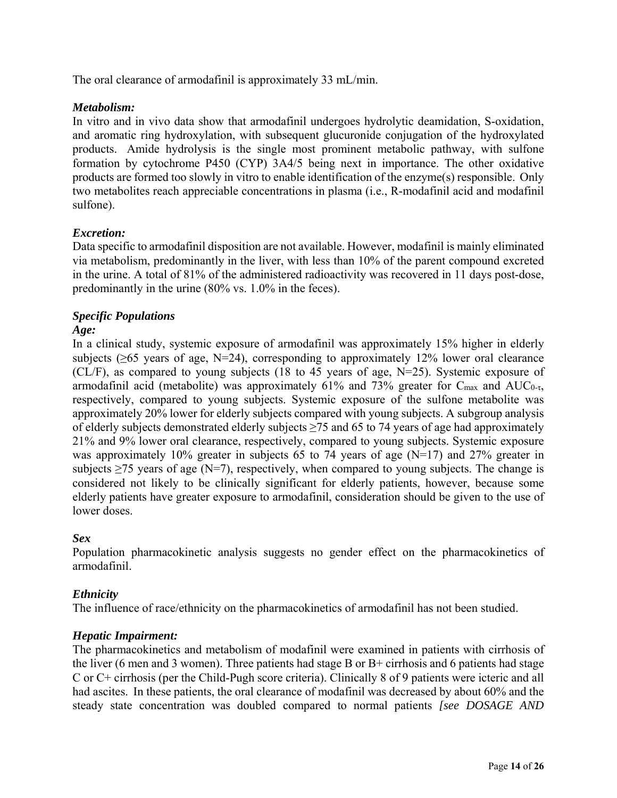The oral clearance of armodafinil is approximately 33 mL/min.

## *Metabolism:*

In vitro and in vivo data show that armodafinil undergoes hydrolytic deamidation, S-oxidation, and aromatic ring hydroxylation, with subsequent glucuronide conjugation of the hydroxylated products. Amide hydrolysis is the single most prominent metabolic pathway, with sulfone formation by cytochrome P450 (CYP) 3A4/5 being next in importance. The other oxidative products are formed too slowly in vitro to enable identification of the enzyme(s) responsible. Only two metabolites reach appreciable concentrations in plasma (i.e., R-modafinil acid and modafinil sulfone).

# *Excretion:*

Data specific to armodafinil disposition are not available. However, modafinil is mainly eliminated via metabolism, predominantly in the liver, with less than 10% of the parent compound excreted in the urine. A total of 81% of the administered radioactivity was recovered in 11 days post-dose, predominantly in the urine (80% vs. 1.0% in the feces).

# *Specific Populations*

### *Age:*

In a clinical study, systemic exposure of armodafinil was approximately 15% higher in elderly subjects ( $\geq 65$  years of age, N=24), corresponding to approximately 12% lower oral clearance (CL/F), as compared to young subjects (18 to 45 years of age, N=25). Systemic exposure of armodafinil acid (metabolite) was approximately 61% and 73% greater for  $C_{\text{max}}$  and  $AUC_{0-\tau}$ , respectively, compared to young subjects. Systemic exposure of the sulfone metabolite was approximately 20% lower for elderly subjects compared with young subjects. A subgroup analysis of elderly subjects demonstrated elderly subjects  $\geq$ 75 and 65 to 74 years of age had approximately 21% and 9% lower oral clearance, respectively, compared to young subjects. Systemic exposure was approximately 10% greater in subjects 65 to 74 years of age (N=17) and 27% greater in subjects  $\geq$ 75 years of age (N=7), respectively, when compared to young subjects. The change is considered not likely to be clinically significant for elderly patients, however, because some elderly patients have greater exposure to armodafinil, consideration should be given to the use of lower doses.

### *Sex*

Population pharmacokinetic analysis suggests no gender effect on the pharmacokinetics of armodafinil.

### *Ethnicity*

The influence of race/ethnicity on the pharmacokinetics of armodafinil has not been studied.

### *Hepatic Impairment:*

The pharmacokinetics and metabolism of modafinil were examined in patients with cirrhosis of the liver (6 men and 3 women). Three patients had stage B or B+ cirrhosis and 6 patients had stage C or C+ cirrhosis (per the Child-Pugh score criteria). Clinically 8 of 9 patients were icteric and all had ascites. In these patients, the oral clearance of modafinil was decreased by about 60% and the steady state concentration was doubled compared to normal patients *[see DOSAGE AND*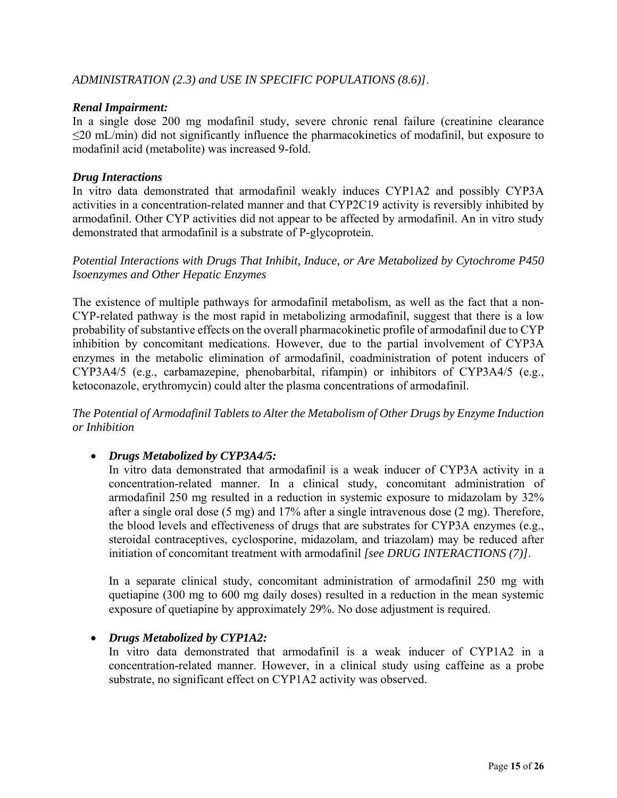## *Renal Impairment:*

In a single dose 200 mg modafinil study, severe chronic renal failure (creatinine clearance ≤20 mL/min) did not significantly influence the pharmacokinetics of modafinil, but exposure to modafinil acid (metabolite) was increased 9-fold.

## *Drug Interactions*

In vitro data demonstrated that armodafinil weakly induces CYP1A2 and possibly CYP3A activities in a concentration-related manner and that CYP2C19 activity is reversibly inhibited by armodafinil. Other CYP activities did not appear to be affected by armodafinil. An in vitro study demonstrated that armodafinil is a substrate of P-glycoprotein.

*Potential Interactions with Drugs That Inhibit, Induce, or Are Metabolized by Cytochrome P450 Isoenzymes and Other Hepatic Enzymes* 

The existence of multiple pathways for armodafinil metabolism, as well as the fact that a non-CYP-related pathway is the most rapid in metabolizing armodafinil, suggest that there is a low probability of substantive effects on the overall pharmacokinetic profile of armodafinil due to CYP inhibition by concomitant medications. However, due to the partial involvement of CYP3A enzymes in the metabolic elimination of armodafinil, coadministration of potent inducers of CYP3A4/5 (e.g., carbamazepine, phenobarbital, rifampin) or inhibitors of CYP3A4/5 (e.g., ketoconazole, erythromycin) could alter the plasma concentrations of armodafinil.

*The Potential of Armodafinil Tablets to Alter the Metabolism of Other Drugs by Enzyme Induction or Inhibition*

# *Drugs Metabolized by CYP3A4/5:*

In vitro data demonstrated that armodafinil is a weak inducer of CYP3A activity in a concentration-related manner. In a clinical study, concomitant administration of armodafinil 250 mg resulted in a reduction in systemic exposure to midazolam by 32% after a single oral dose (5 mg) and 17% after a single intravenous dose (2 mg). Therefore, the blood levels and effectiveness of drugs that are substrates for CYP3A enzymes (e.g., steroidal contraceptives, cyclosporine, midazolam, and triazolam) may be reduced after initiation of concomitant treatment with armodafinil *[see DRUG INTERACTIONS (7)]*.

In a separate clinical study, concomitant administration of armodafinil 250 mg with quetiapine (300 mg to 600 mg daily doses) resulted in a reduction in the mean systemic exposure of quetiapine by approximately 29%. No dose adjustment is required.

### *Drugs Metabolized by CYP1A2:*

In vitro data demonstrated that armodafinil is a weak inducer of CYP1A2 in a concentration-related manner. However, in a clinical study using caffeine as a probe substrate, no significant effect on CYP1A2 activity was observed.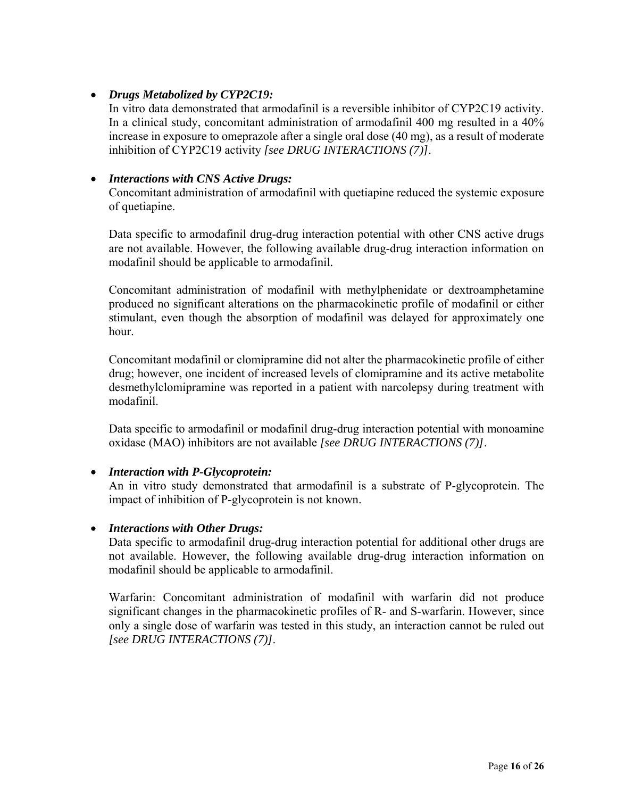# *Drugs Metabolized by CYP2C19:*

In vitro data demonstrated that armodafinil is a reversible inhibitor of CYP2C19 activity. In a clinical study, concomitant administration of armodafinil 400 mg resulted in a 40% increase in exposure to omeprazole after a single oral dose (40 mg), as a result of moderate inhibition of CYP2C19 activity *[see DRUG INTERACTIONS (7)]*.

## *Interactions with CNS Active Drugs:*

Concomitant administration of armodafinil with quetiapine reduced the systemic exposure of quetiapine.

Data specific to armodafinil drug-drug interaction potential with other CNS active drugs are not available. However, the following available drug-drug interaction information on modafinil should be applicable to armodafinil*.*

Concomitant administration of modafinil with methylphenidate or dextroamphetamine produced no significant alterations on the pharmacokinetic profile of modafinil or either stimulant, even though the absorption of modafinil was delayed for approximately one hour.

Concomitant modafinil or clomipramine did not alter the pharmacokinetic profile of either drug; however, one incident of increased levels of clomipramine and its active metabolite desmethylclomipramine was reported in a patient with narcolepsy during treatment with modafinil.

Data specific to armodafinil or modafinil drug-drug interaction potential with monoamine oxidase (MAO) inhibitors are not available *[see DRUG INTERACTIONS (7)]*.

# *Interaction with P-Glycoprotein:*

An in vitro study demonstrated that armodafinil is a substrate of P-glycoprotein. The impact of inhibition of P-glycoprotein is not known.

### *Interactions with Other Drugs:*

Data specific to armodafinil drug-drug interaction potential for additional other drugs are not available. However, the following available drug-drug interaction information on modafinil should be applicable to armodafinil.

Warfarin: Concomitant administration of modafinil with warfarin did not produce significant changes in the pharmacokinetic profiles of R- and S-warfarin. However, since only a single dose of warfarin was tested in this study, an interaction cannot be ruled out *[see DRUG INTERACTIONS (7)]*.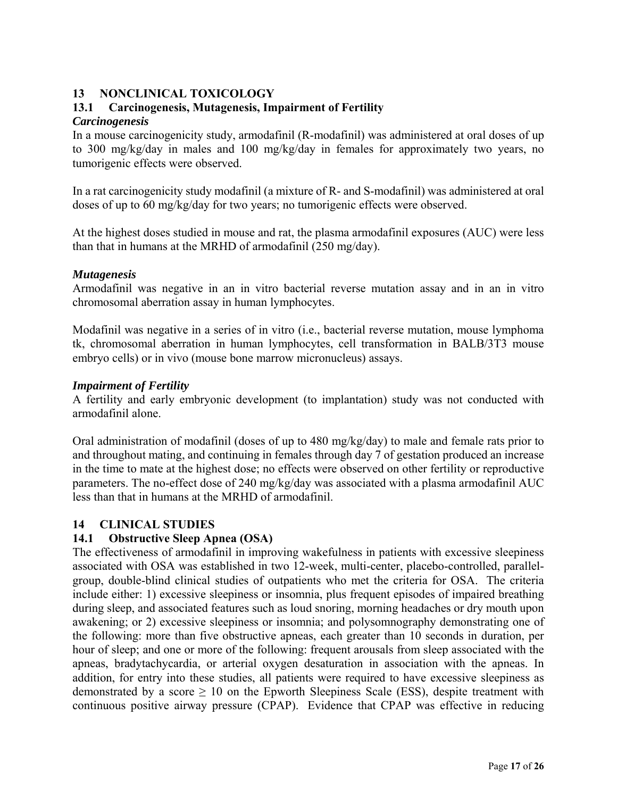# <span id="page-16-0"></span>**13 NONCLINICAL TOXICOLOGY**

## **13.1 Carcinogenesis, Mutagenesis, Impairment of Fertility** *Carcinogenesis*

In a mouse carcinogenicity study, armodafinil (R-modafinil) was administered at oral doses of up to 300 mg/kg/day in males and 100 mg/kg/day in females for approximately two years, no tumorigenic effects were observed.

In a rat carcinogenicity study modafinil (a mixture of R- and S-modafinil) was administered at oral doses of up to 60 mg/kg/day for two years; no tumorigenic effects were observed.

At the highest doses studied in mouse and rat, the plasma armodafinil exposures (AUC) were less than that in humans at the MRHD of armodafinil (250 mg/day).

### *Mutagenesis*

Armodafinil was negative in an in vitro bacterial reverse mutation assay and in an in vitro chromosomal aberration assay in human lymphocytes.

Modafinil was negative in a series of in vitro (i.e., bacterial reverse mutation, mouse lymphoma tk, chromosomal aberration in human lymphocytes, cell transformation in BALB/3T3 mouse embryo cells) or in vivo (mouse bone marrow micronucleus) assays.

### *Impairment of Fertility*

A fertility and early embryonic development (to implantation) study was not conducted with armodafinil alone.

Oral administration of modafinil (doses of up to 480 mg/kg/day) to male and female rats prior to and throughout mating, and continuing in females through day 7 of gestation produced an increase in the time to mate at the highest dose; no effects were observed on other fertility or reproductive parameters. The no-effect dose of 240 mg/kg/day was associated with a plasma armodafinil AUC less than that in humans at the MRHD of armodafinil.

### **14 CLINICAL STUDIES**

### **14.1 Obstructive Sleep Apnea (OSA)**

The effectiveness of armodafinil in improving wakefulness in patients with excessive sleepiness associated with OSA was established in two 12-week, multi-center, placebo-controlled, parallelgroup, double-blind clinical studies of outpatients who met the criteria for OSA. The criteria include either: 1) excessive sleepiness or insomnia, plus frequent episodes of impaired breathing during sleep, and associated features such as loud snoring, morning headaches or dry mouth upon awakening; or 2) excessive sleepiness or insomnia; and polysomnography demonstrating one of the following: more than five obstructive apneas, each greater than 10 seconds in duration, per hour of sleep; and one or more of the following: frequent arousals from sleep associated with the apneas, bradytachycardia, or arterial oxygen desaturation in association with the apneas. In addition, for entry into these studies, all patients were required to have excessive sleepiness as demonstrated by a score  $\geq 10$  on the Epworth Sleepiness Scale (ESS), despite treatment with continuous positive airway pressure (CPAP). Evidence that CPAP was effective in reducing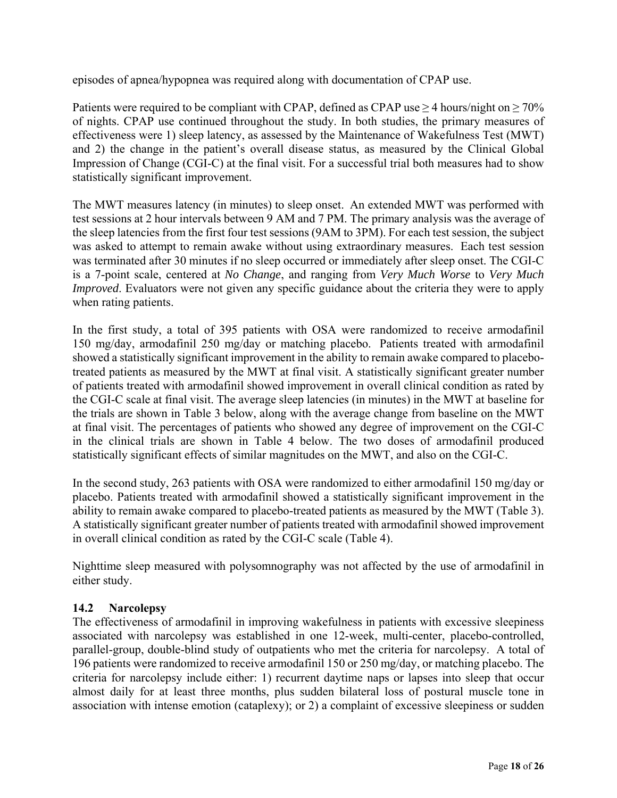episodes of apnea/hypopnea was required along with documentation of CPAP use.

Patients were required to be compliant with CPAP, defined as CPAP use  $\geq$  4 hours/night on  $\geq$  70% of nights. CPAP use continued throughout the study. In both studies, the primary measures of effectiveness were 1) sleep latency, as assessed by the Maintenance of Wakefulness Test (MWT) and 2) the change in the patient's overall disease status, as measured by the Clinical Global Impression of Change (CGI-C) at the final visit. For a successful trial both measures had to show statistically significant improvement.

The MWT measures latency (in minutes) to sleep onset. An extended MWT was performed with test sessions at 2 hour intervals between 9 AM and 7 PM. The primary analysis was the average of the sleep latencies from the first four test sessions (9AM to 3PM). For each test session, the subject was asked to attempt to remain awake without using extraordinary measures. Each test session was terminated after 30 minutes if no sleep occurred or immediately after sleep onset. The CGI-C is a 7-point scale, centered at *No Change*, and ranging from *Very Much Worse* to *Very Much Improved*. Evaluators were not given any specific guidance about the criteria they were to apply when rating patients.

In the first study, a total of 395 patients with OSA were randomized to receive armodafinil 150 mg/day, armodafinil 250 mg/day or matching placebo. Patients treated with armodafinil showed a statistically significant improvement in the ability to remain awake compared to placebotreated patients as measured by the MWT at final visit. A statistically significant greater number of patients treated with armodafinil showed improvement in overall clinical condition as rated by the CGI-C scale at final visit. The average sleep latencies (in minutes) in the MWT at baseline for the trials are shown in Table 3 below, along with the average change from baseline on the MWT at final visit. The percentages of patients who showed any degree of improvement on the CGI-C in the clinical trials are shown in Table 4 below. The two doses of armodafinil produced statistically significant effects of similar magnitudes on the MWT, and also on the CGI-C.

In the second study, 263 patients with OSA were randomized to either armodafinil 150 mg/day or placebo. Patients treated with armodafinil showed a statistically significant improvement in the ability to remain awake compared to placebo-treated patients as measured by the MWT (Table 3). A statistically significant greater number of patients treated with armodafinil showed improvement in overall clinical condition as rated by the CGI-C scale (Table 4).

Nighttime sleep measured with polysomnography was not affected by the use of armodafinil in either study.

# **14.2 Narcolepsy**

The effectiveness of armodafinil in improving wakefulness in patients with excessive sleepiness associated with narcolepsy was established in one 12-week, multi-center, placebo-controlled, parallel-group, double-blind study of outpatients who met the criteria for narcolepsy. A total of 196 patients were randomized to receive armodafinil 150 or 250 mg/day, or matching placebo. The criteria for narcolepsy include either: 1) recurrent daytime naps or lapses into sleep that occur almost daily for at least three months, plus sudden bilateral loss of postural muscle tone in association with intense emotion (cataplexy); or 2) a complaint of excessive sleepiness or sudden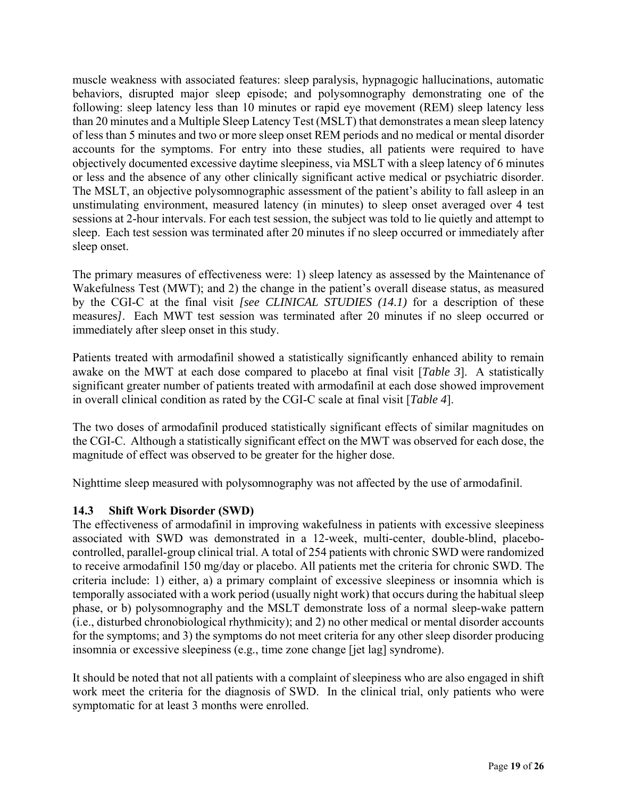muscle weakness with associated features: sleep paralysis, hypnagogic hallucinations, automatic behaviors, disrupted major sleep episode; and polysomnography demonstrating one of the following: sleep latency less than 10 minutes or rapid eye movement (REM) sleep latency less than 20 minutes and a Multiple Sleep Latency Test (MSLT) that demonstrates a mean sleep latency of less than 5 minutes and two or more sleep onset REM periods and no medical or mental disorder accounts for the symptoms. For entry into these studies, all patients were required to have objectively documented excessive daytime sleepiness, via MSLT with a sleep latency of 6 minutes or less and the absence of any other clinically significant active medical or psychiatric disorder. The MSLT, an objective polysomnographic assessment of the patient's ability to fall asleep in an unstimulating environment, measured latency (in minutes) to sleep onset averaged over 4 test sessions at 2-hour intervals. For each test session, the subject was told to lie quietly and attempt to sleep. Each test session was terminated after 20 minutes if no sleep occurred or immediately after sleep onset.

The primary measures of effectiveness were: 1) sleep latency as assessed by the Maintenance of Wakefulness Test (MWT); and 2) the change in the patient's overall disease status, as measured by the CGI-C at the final visit *[see CLINICAL STUDIES (14.1)* for a description of these measures*]*. Each MWT test session was terminated after 20 minutes if no sleep occurred or immediately after sleep onset in this study.

Patients treated with armodafinil showed a statistically significantly enhanced ability to remain awake on the MWT at each dose compared to placebo at final visit [*Table 3*]. A statistically significant greater number of patients treated with armodafinil at each dose showed improvement in overall clinical condition as rated by the CGI-C scale at final visit [*Table 4*].

The two doses of armodafinil produced statistically significant effects of similar magnitudes on the CGI-C. Although a statistically significant effect on the MWT was observed for each dose, the magnitude of effect was observed to be greater for the higher dose.

Nighttime sleep measured with polysomnography was not affected by the use of armodafinil.

# **14.3 Shift Work Disorder (SWD)**

The effectiveness of armodafinil in improving wakefulness in patients with excessive sleepiness associated with SWD was demonstrated in a 12-week, multi-center, double-blind, placebocontrolled, parallel-group clinical trial. A total of 254 patients with chronic SWD were randomized to receive armodafinil 150 mg/day or placebo. All patients met the criteria for chronic SWD. The criteria include: 1) either, a) a primary complaint of excessive sleepiness or insomnia which is temporally associated with a work period (usually night work) that occurs during the habitual sleep phase, or b) polysomnography and the MSLT demonstrate loss of a normal sleep-wake pattern (i.e., disturbed chronobiological rhythmicity); and 2) no other medical or mental disorder accounts for the symptoms; and 3) the symptoms do not meet criteria for any other sleep disorder producing insomnia or excessive sleepiness (e.g., time zone change [jet lag] syndrome).

It should be noted that not all patients with a complaint of sleepiness who are also engaged in shift work meet the criteria for the diagnosis of SWD. In the clinical trial, only patients who were symptomatic for at least 3 months were enrolled.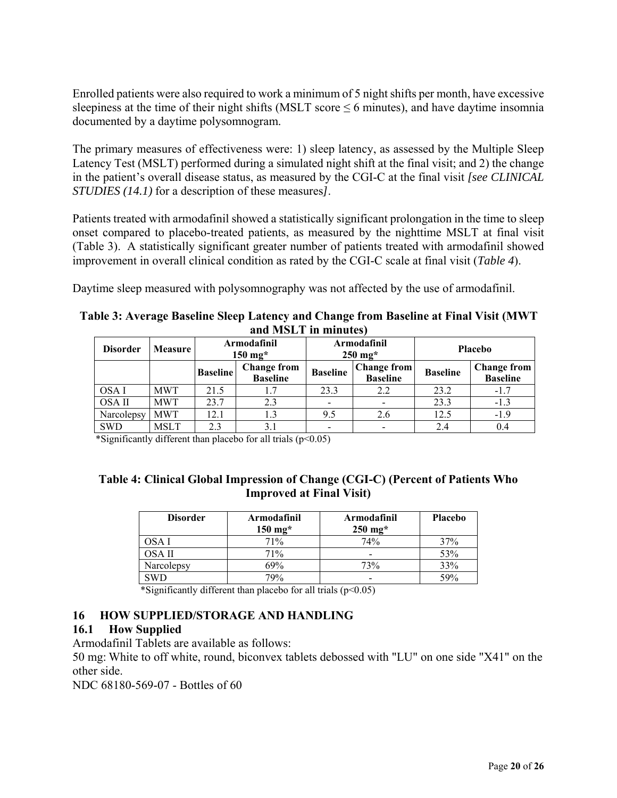<span id="page-19-0"></span>Enrolled patients were also required to work a minimum of 5 night shifts per month, have excessive sleepiness at the time of their night shifts (MSLT score  $\leq 6$  minutes), and have daytime insomnia documented by a daytime polysomnogram.

The primary measures of effectiveness were: 1) sleep latency, as assessed by the Multiple Sleep Latency Test (MSLT) performed during a simulated night shift at the final visit; and 2) the change in the patient's overall disease status, as measured by the CGI-C at the final visit *[see CLINICAL STUDIES (14.1)* for a description of these measures*]*.

Patients treated with armodafinil showed a statistically significant prolongation in the time to sleep onset compared to placebo-treated patients, as measured by the nighttime MSLT at final visit (Table 3). A statistically significant greater number of patients treated with armodafinil showed improvement in overall clinical condition as rated by the CGI-C scale at final visit (*Table 4*).

Daytime sleep measured with polysomnography was not affected by the use of armodafinil.

| Table 3: Average Baseline Sleep Latency and Change from Baseline at Final Visit (MWT |
|--------------------------------------------------------------------------------------|
| and MSLT in minutes)                                                                 |

| <b>Disorder</b> | <b>Measure</b> | Armodafinil<br>$150$ mg* |                                       |                 | Armodafinil<br>$250$ mg <sup>*</sup>  |                 | <b>Placebo</b>                        |
|-----------------|----------------|--------------------------|---------------------------------------|-----------------|---------------------------------------|-----------------|---------------------------------------|
|                 |                | <b>Baseline</b>          | <b>Change from</b><br><b>Baseline</b> | <b>Baseline</b> | <b>Change from</b><br><b>Baseline</b> | <b>Baseline</b> | <b>Change from</b><br><b>Baseline</b> |
| OSA I           | <b>MWT</b>     | 21.5                     | 1.7                                   | 23.3            | 2.2                                   | 23.2            | $-1.7$                                |
| OSA II          | <b>MWT</b>     | 23.7                     | 2.3                                   |                 |                                       | 23.3            | $-1.3$                                |
| Narcolepsy      | <b>MWT</b>     | 12.1                     | 1.3                                   | 9.5             | 2.6                                   | 12.5            | $-1.9$                                |
| <b>SWD</b>      | <b>MSLT</b>    | 2.3                      | 3.1                                   |                 |                                       | 2.4             | 0.4                                   |

\*Significantly different than placebo for all trials  $(p<0.05)$ 

## **Table 4: Clinical Global Impression of Change (CGI-C) (Percent of Patients Who Improved at Final Visit)**

| <b>Disorder</b> | Armodafinil<br>$150$ mg <sup>*</sup> | Armodafinil<br>$250$ mg <sup>*</sup> | <b>Placebo</b> |
|-----------------|--------------------------------------|--------------------------------------|----------------|
| DSA I           | 71%                                  | 74%                                  | 37%            |
| OSA II          | 71%                                  | $\overline{\phantom{0}}$             | 53%            |
| Narcolepsy      | 69%                                  | 73%                                  | 33%            |
| SWD             | 79%                                  | $\overline{\phantom{0}}$             | 59%            |

\*Significantly different than placebo for all trials  $(p<0.05)$ 

# **16 HOW SUPPLIED/STORAGE AND HANDLING**

# **16.1 How Supplied**

Armodafinil Tablets are available as follows:

50 mg: White to off white, round, biconvex tablets debossed with "LU" on one side "X41" on the other side.

NDC 68180-569-07 - Bottles of 60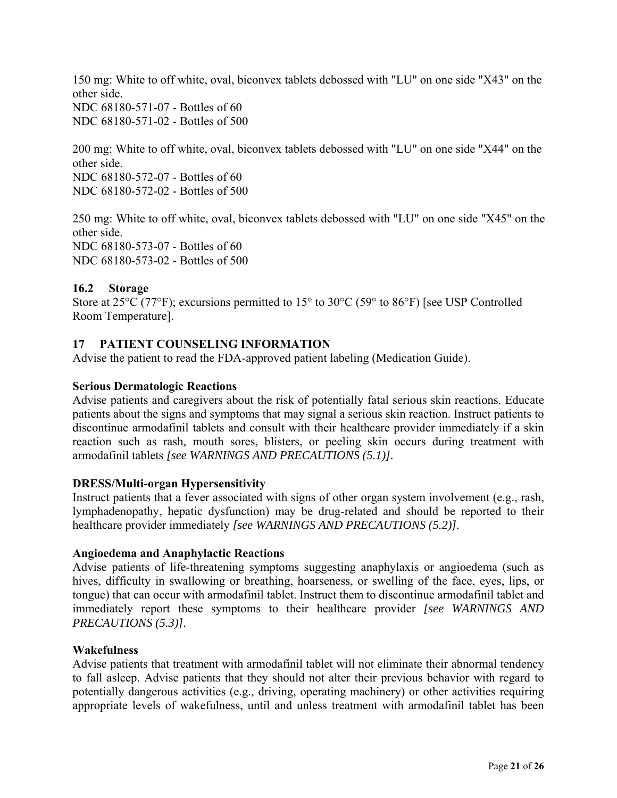<span id="page-20-0"></span>150 mg: White to off white, oval, biconvex tablets debossed with "LU" on one side "X43" on the other side. NDC 68180-571-07 - Bottles of 60

NDC 68180-571-02 - Bottles of 500

200 mg: White to off white, oval, biconvex tablets debossed with "LU" on one side "X44" on the other side. NDC 68180-572-07 - Bottles of 60 NDC 68180-572-02 - Bottles of 500

250 mg: White to off white, oval, biconvex tablets debossed with "LU" on one side "X45" on the other side. NDC 68180-573-07 - Bottles of 60 NDC 68180-573-02 - Bottles of 500

# **16.2 Storage**

Store at 25<sup>o</sup>C (77<sup>o</sup>F); excursions permitted to 15<sup>o</sup> to 30<sup>o</sup>C (59<sup>o</sup> to 86<sup>o</sup>F) [see USP Controlled Room Temperature].

## **17 PATIENT COUNSELING INFORMATION**

Advise the patient to read the FDA-approved patient labeling (Medication Guide).

### **Serious Dermatologic Reactions**

Advise patients and caregivers about the risk of potentially fatal serious skin reactions. Educate patients about the signs and symptoms that may signal a serious skin reaction. Instruct patients to discontinue armodafinil tablets and consult with their healthcare provider immediately if a skin reaction such as rash, mouth sores, blisters, or peeling skin occurs during treatment with armodafinil tablets *[see WARNINGS AND PRECAUTIONS (5.1)].* 

### **DRESS/Multi-organ Hypersensitivity**

Instruct patients that a fever associated with signs of other organ system involvement (e.g., rash, lymphadenopathy, hepatic dysfunction) may be drug-related and should be reported to their healthcare provider immediately *[see WARNINGS AND PRECAUTIONS (5.2)].*

### **Angioedema and Anaphylactic Reactions**

Advise patients of life-threatening symptoms suggesting anaphylaxis or angioedema (such as hives, difficulty in swallowing or breathing, hoarseness, or swelling of the face, eyes, lips, or tongue) that can occur with armodafinil tablet. Instruct them to discontinue armodafinil tablet and immediately report these symptoms to their healthcare provider *[see WARNINGS AND PRECAUTIONS (5.3)].* 

### **Wakefulness**

Advise patients that treatment with armodafinil tablet will not eliminate their abnormal tendency to fall asleep. Advise patients that they should not alter their previous behavior with regard to potentially dangerous activities (e.g., driving, operating machinery) or other activities requiring appropriate levels of wakefulness, until and unless treatment with armodafinil tablet has been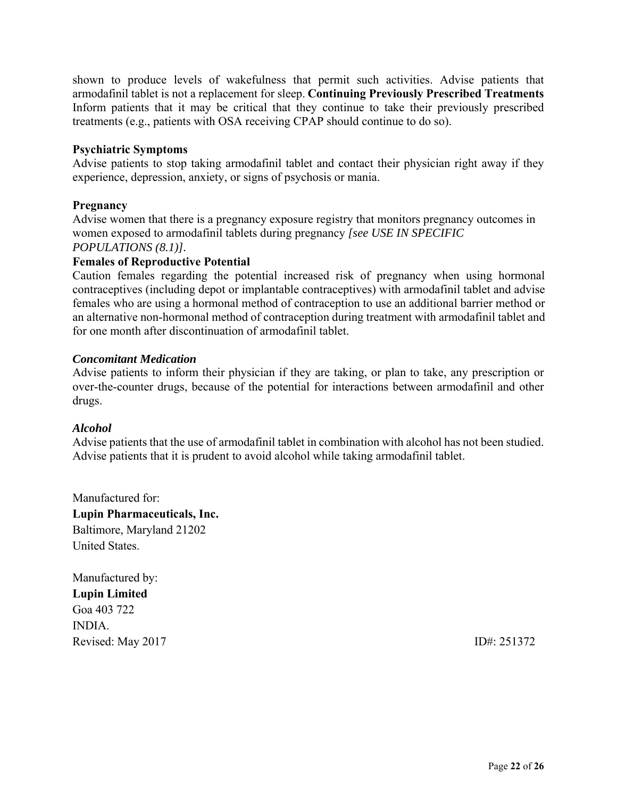shown to produce levels of wakefulness that permit such activities. Advise patients that armodafinil tablet is not a replacement for sleep. **Continuing Previously Prescribed Treatments**  Inform patients that it may be critical that they continue to take their previously prescribed treatments (e.g., patients with OSA receiving CPAP should continue to do so).

## **Psychiatric Symptoms**

Advise patients to stop taking armodafinil tablet and contact their physician right away if they experience, depression, anxiety, or signs of psychosis or mania.

## **Pregnancy**

Advise women that there is a pregnancy exposure registry that monitors pregnancy outcomes in women exposed to armodafinil tablets during pregnancy *[see USE IN SPECIFIC POPULATIONS (8.1)].*

## **Females of Reproductive Potential**

Caution females regarding the potential increased risk of pregnancy when using hormonal contraceptives (including depot or implantable contraceptives) with armodafinil tablet and advise females who are using a hormonal method of contraception to use an additional barrier method or an alternative non-hormonal method of contraception during treatment with armodafinil tablet and for one month after discontinuation of armodafinil tablet.

### *Concomitant Medication*

Advise patients to inform their physician if they are taking, or plan to take, any prescription or over-the-counter drugs, because of the potential for interactions between armodafinil and other drugs.

### *Alcohol*

Advise patients that the use of armodafinil tablet in combination with alcohol has not been studied. Advise patients that it is prudent to avoid alcohol while taking armodafinil tablet.

Manufactured for: **Lupin Pharmaceuticals, Inc.**  Baltimore, Maryland 21202 United States.

Manufactured by: **Lupin Limited** Goa 403 722 INDIA. Revised: May 2017 **ID#: 251372**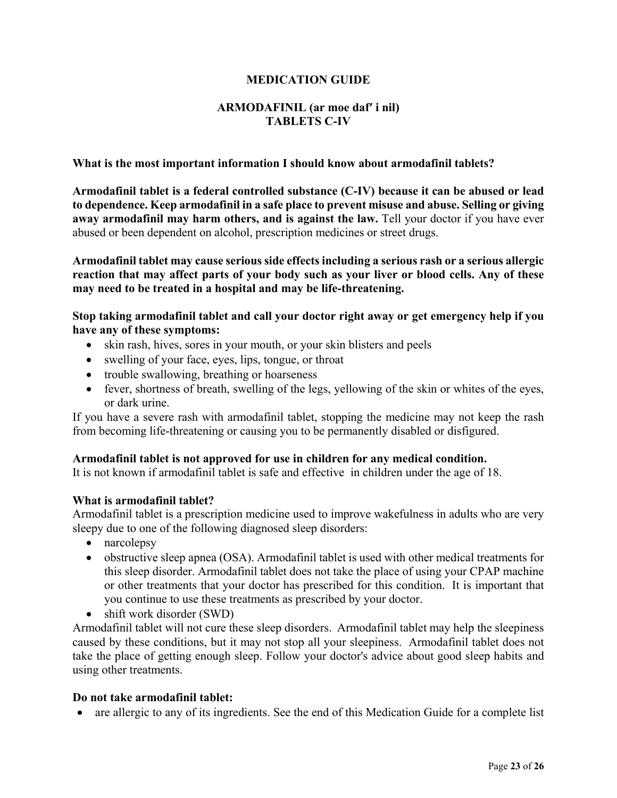## **MEDICATION GUIDE**

## **ARMODAFINIL (ar moe daf′ i nil) TABLETS C-IV**

#### **What is the most important information I should know about armodafinil tablets?**

**Armodafinil tablet is a federal controlled substance (C-IV) because it can be abused or lead to dependence. Keep armodafinil in a safe place to prevent misuse and abuse. Selling or giving**  away armodafinil may harm others, and is against the law. Tell your doctor if you have ever abused or been dependent on alcohol, prescription medicines or street drugs.

**Armodafinil tablet may cause serious side effects including a serious rash or a serious allergic reaction that may affect parts of your body such as your liver or blood cells. Any of these may need to be treated in a hospital and may be life-threatening.**

**Stop taking armodafinil tablet and call your doctor right away or get emergency help if you have any of these symptoms:**

- skin rash, hives, sores in your mouth, or your skin blisters and peels
- swelling of your face, eyes, lips, tongue, or throat
- trouble swallowing, breathing or hoarseness
- fever, shortness of breath, swelling of the legs, yellowing of the skin or whites of the eyes, or dark urine.

If you have a severe rash with armodafinil tablet, stopping the medicine may not keep the rash from becoming life-threatening or causing you to be permanently disabled or disfigured.

### **Armodafinil tablet is not approved for use in children for any medical condition.**

It is not known if armodafinil tablet is safe and effective in children under the age of 18.

### **What is armodafinil tablet?**

Armodafinil tablet is a prescription medicine used to improve wakefulness in adults who are very sleepy due to one of the following diagnosed sleep disorders:

- narcolepsy
- obstructive sleep apnea (OSA). Armodafinil tablet is used with other medical treatments for this sleep disorder. Armodafinil tablet does not take the place of using your CPAP machine or other treatments that your doctor has prescribed for this condition. It is important that you continue to use these treatments as prescribed by your doctor.
- shift work disorder (SWD)

Armodafinil tablet will not cure these sleep disorders. Armodafinil tablet may help the sleepiness caused by these conditions, but it may not stop all your sleepiness. Armodafinil tablet does not take the place of getting enough sleep. Follow your doctor's advice about good sleep habits and using other treatments.

#### **Do not take armodafinil tablet:**

• are allergic to any of its ingredients. See the end of this Medication Guide for a complete list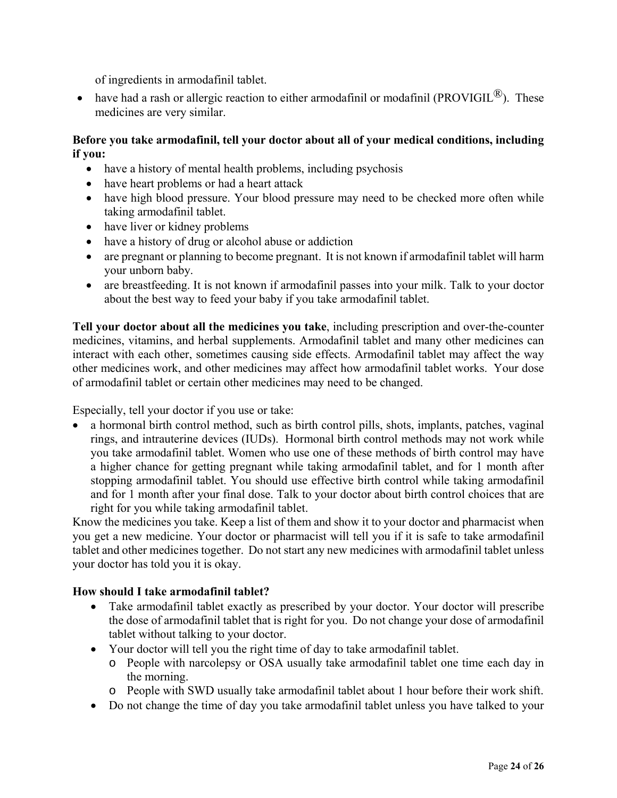of ingredients in armodafinil tablet.

• have had a rash or allergic reaction to either armodafinil or modafinil (PROVIGIL $^{\circledR}$ ). These medicines are very similar.

# **Before you take armodafinil, tell your doctor about all of your medical conditions, including if you:**

- have a history of mental health problems, including psychosis
- have heart problems or had a heart attack
- have high blood pressure. Your blood pressure may need to be checked more often while taking armodafinil tablet.
- have liver or kidney problems
- have a history of drug or alcohol abuse or addiction
- are pregnant or planning to become pregnant. It is not known if armodafinil tablet will harm your unborn baby.
- are breastfeeding. It is not known if armodafinil passes into your milk. Talk to your doctor about the best way to feed your baby if you take armodafinil tablet.

**Tell your doctor about all the medicines you take**, including prescription and over-the-counter medicines, vitamins, and herbal supplements. Armodafinil tablet and many other medicines can interact with each other, sometimes causing side effects. Armodafinil tablet may affect the way other medicines work, and other medicines may affect how armodafinil tablet works. Your dose of armodafinil tablet or certain other medicines may need to be changed.

Especially, tell your doctor if you use or take:

• a hormonal birth control method, such as birth control pills, shots, implants, patches, vaginal rings, and intrauterine devices (IUDs). Hormonal birth control methods may not work while you take armodafinil tablet. Women who use one of these methods of birth control may have a higher chance for getting pregnant while taking armodafinil tablet, and for 1 month after stopping armodafinil tablet. You should use effective birth control while taking armodafinil and for 1 month after your final dose. Talk to your doctor about birth control choices that are right for you while taking armodafinil tablet.

Know the medicines you take. Keep a list of them and show it to your doctor and pharmacist when you get a new medicine. Your doctor or pharmacist will tell you if it is safe to take armodafinil tablet and other medicines together. Do not start any new medicines with armodafinil tablet unless your doctor has told you it is okay.

# **How should I take armodafinil tablet?**

- Take armodafinil tablet exactly as prescribed by your doctor. Your doctor will prescribe the dose of armodafinil tablet that is right for you. Do not change your dose of armodafinil tablet without talking to your doctor.
- Your doctor will tell you the right time of day to take armodafinil tablet.
	- o People with narcolepsy or OSA usually take armodafinil tablet one time each day in the morning.
	- o People with SWD usually take armodafinil tablet about 1 hour before their work shift.
- Do not change the time of day you take armodafinil tablet unless you have talked to your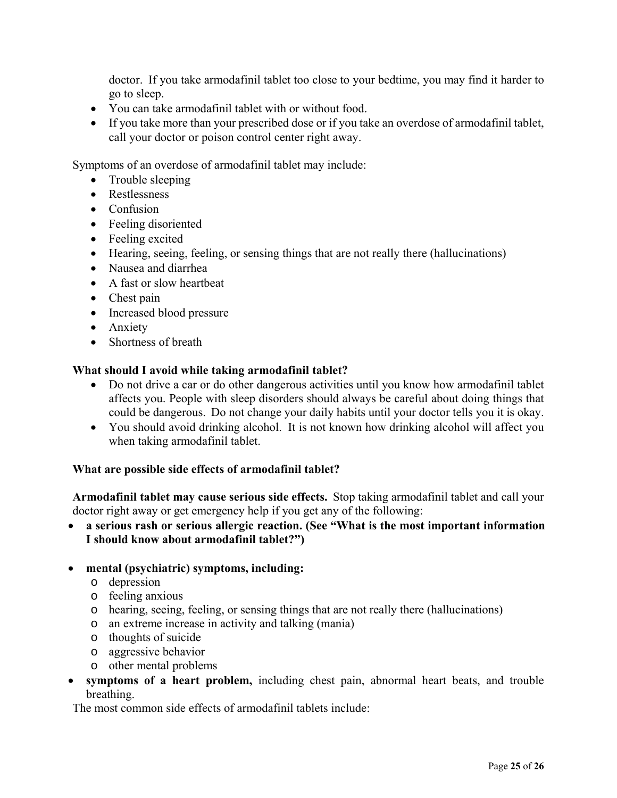doctor. If you take armodafinil tablet too close to your bedtime, you may find it harder to go to sleep.

- You can take armodafinil tablet with or without food.
- If you take more than your prescribed dose or if you take an overdose of armodafinil tablet, call your doctor or poison control center right away.

Symptoms of an overdose of armodafinil tablet may include:

- Trouble sleeping
- Restlessness
- Confusion
- Feeling disoriented
- Feeling excited
- Hearing, seeing, feeling, or sensing things that are not really there (hallucinations)
- Nausea and diarrhea
- A fast or slow heartbeat
- Chest pain
- Increased blood pressure
- Anxiety
- Shortness of breath

## **What should I avoid while taking armodafinil tablet?**

- Do not drive a car or do other dangerous activities until you know how armodafinil tablet affects you. People with sleep disorders should always be careful about doing things that could be dangerous. Do not change your daily habits until your doctor tells you it is okay.
- You should avoid drinking alcohol. It is not known how drinking alcohol will affect you when taking armodafinil tablet.

### **What are possible side effects of armodafinil tablet?**

**Armodafinil tablet may cause serious side effects.** Stop taking armodafinil tablet and call your doctor right away or get emergency help if you get any of the following:

 **a serious rash or serious allergic reaction. (See "What is the most important information I should know about armodafinil tablet?")**

### **mental (psychiatric) symptoms, including:**

- o depression
- o feeling anxious
- o hearing, seeing, feeling, or sensing things that are not really there (hallucinations)
- o an extreme increase in activity and talking (mania)
- o thoughts of suicide
- o aggressive behavior
- o other mental problems
- **symptoms of a heart problem,** including chest pain, abnormal heart beats, and trouble breathing.

The most common side effects of armodafinil tablets include: